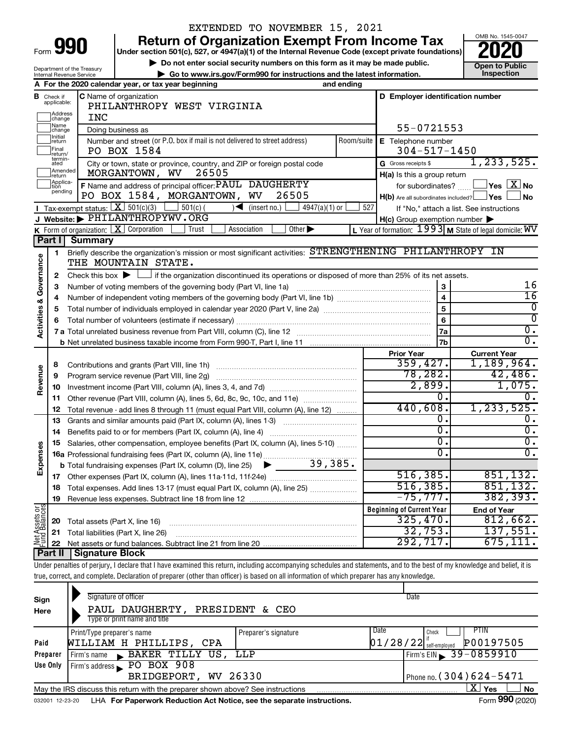| Form |  |
|------|--|
|      |  |

Department of the Treasury Internal Revenue Service

### EXTENDED TO NOVEMBER 15, 2021

**990 a** Return of Organization Exempt From Income Tax <br> **Particular Solution 501(c), 527, or 4947(a)(1) of the Internal Revenue Code (except private foundations) <b>2020** 

**▶ Do not enter social security numbers on this form as it may be made public. Open to Public**<br>
inspection instructions and the latest information. Inspection **| Go to www.irs.gov/Form990 for instructions and the latest information. Inspection**



|                                                                     |                         | A For the 2020 calendar year, or tax year beginning                                                                                                 | and ending |                                                         |                                                           |  |  |  |  |  |  |
|---------------------------------------------------------------------|-------------------------|-----------------------------------------------------------------------------------------------------------------------------------------------------|------------|---------------------------------------------------------|-----------------------------------------------------------|--|--|--|--|--|--|
| в                                                                   | Check if<br>applicable: | <b>C</b> Name of organization<br>PHILANTHROPY WEST VIRGINIA                                                                                         |            | D Employer identification number                        |                                                           |  |  |  |  |  |  |
|                                                                     | Address<br>change       | INC                                                                                                                                                 |            |                                                         |                                                           |  |  |  |  |  |  |
| Name<br>55-0721553<br>Doing business as<br>change<br><b>Initial</b> |                         |                                                                                                                                                     |            |                                                         |                                                           |  |  |  |  |  |  |
|                                                                     | return                  | Number and street (or P.O. box if mail is not delivered to street address)                                                                          | Room/suite | E Telephone number                                      |                                                           |  |  |  |  |  |  |
|                                                                     | Final<br>return/        | PO BOX 1584                                                                                                                                         |            | $304 - 517 - 1450$                                      |                                                           |  |  |  |  |  |  |
|                                                                     | termin-<br>ated         | City or town, state or province, country, and ZIP or foreign postal code                                                                            |            | G Gross receipts \$                                     | 1, 233, 525.                                              |  |  |  |  |  |  |
|                                                                     | Amended<br>Ireturn      | MORGANTOWN, WV<br>26505                                                                                                                             |            | H(a) Is this a group return                             |                                                           |  |  |  |  |  |  |
|                                                                     | Applica-<br>pending     | F Name and address of principal officer: PAUL DAUGHERTY                                                                                             |            | for subordinates?                                       | $\sqrt{}$ Yes $\sqrt{X}$ No                               |  |  |  |  |  |  |
|                                                                     |                         | PO BOX 1584, MORGANTOWN, WV<br>26505                                                                                                                |            | $H(b)$ Are all subordinates included? $\Box$ Yes $\Box$ | <b>No</b>                                                 |  |  |  |  |  |  |
|                                                                     |                         | <b>I</b> Tax-exempt status: $X \mid 501(c)(3)$<br>$501(c)$ (<br>$\blacksquare$<br>(insert no.)<br>$4947(a)(1)$ or                                   | 527        |                                                         | If "No," attach a list. See instructions                  |  |  |  |  |  |  |
|                                                                     |                         | J Website: PHILANTHROPYWV.ORG                                                                                                                       |            | $H(c)$ Group exemption number $\blacktriangleright$     |                                                           |  |  |  |  |  |  |
|                                                                     |                         | <b>K</b> Form of organization: $\boxed{\mathbf{X}}$ Corporation<br>Other $\blacktriangleright$<br>Trust<br>Association                              |            |                                                         | L Year of formation: $1993$ M State of legal domicile: WV |  |  |  |  |  |  |
|                                                                     | Part I                  | <b>Summary</b>                                                                                                                                      |            |                                                         |                                                           |  |  |  |  |  |  |
| Activities & Governance                                             | $\mathbf{1}$            | Briefly describe the organization's mission or most significant activities: STRENGTHENING PHILANTHROPY IN<br>THE MOUNTAIN STATE.                    |            |                                                         |                                                           |  |  |  |  |  |  |
|                                                                     | $\mathbf{2}$            | Check this box $\blacktriangleright$ $\Box$ if the organization discontinued its operations or disposed of more than 25% of its net assets.         |            |                                                         |                                                           |  |  |  |  |  |  |
|                                                                     | 3                       | Number of voting members of the governing body (Part VI, line 1a) [11] manufactured in the setting members of the governing body (Part VI, line 1a) |            |                                                         | 16                                                        |  |  |  |  |  |  |
|                                                                     | 4                       |                                                                                                                                                     |            | $\overline{\mathbf{4}}$                                 | $\overline{16}$                                           |  |  |  |  |  |  |
|                                                                     | 5                       |                                                                                                                                                     |            | 5                                                       | $\overline{0}$                                            |  |  |  |  |  |  |
|                                                                     | 6                       |                                                                                                                                                     |            | 6                                                       | $\overline{0}$                                            |  |  |  |  |  |  |
|                                                                     |                         |                                                                                                                                                     |            | 7a                                                      | $\overline{0}$ .                                          |  |  |  |  |  |  |
|                                                                     |                         |                                                                                                                                                     |            | 7b                                                      | σ.                                                        |  |  |  |  |  |  |
|                                                                     |                         |                                                                                                                                                     |            | <b>Prior Year</b>                                       | <b>Current Year</b>                                       |  |  |  |  |  |  |
|                                                                     | 8                       | Contributions and grants (Part VIII, line 1h)                                                                                                       |            | 359,427.                                                | 1,189,964.                                                |  |  |  |  |  |  |
|                                                                     | 9                       | Program service revenue (Part VIII, line 2g)                                                                                                        |            | 78,282.                                                 | 42,486.                                                   |  |  |  |  |  |  |
| Revenue                                                             | 10                      |                                                                                                                                                     |            | 2,899.                                                  | 1,075.                                                    |  |  |  |  |  |  |
|                                                                     | 11                      | Other revenue (Part VIII, column (A), lines 5, 6d, 8c, 9c, 10c, and 11e)                                                                            |            | Ο.                                                      | Ο.                                                        |  |  |  |  |  |  |
|                                                                     | 12                      | Total revenue - add lines 8 through 11 (must equal Part VIII, column (A), line 12)                                                                  |            | 440,608.                                                | 1,233,525.                                                |  |  |  |  |  |  |
|                                                                     | 13                      | Grants and similar amounts paid (Part IX, column (A), lines 1-3)                                                                                    |            | 0.                                                      | 0.                                                        |  |  |  |  |  |  |
|                                                                     | 14                      |                                                                                                                                                     |            | σ.                                                      | $\overline{0}$ .                                          |  |  |  |  |  |  |
|                                                                     | 15                      | Salaries, other compensation, employee benefits (Part IX, column (A), lines 5-10)                                                                   |            | $\overline{0}$ .                                        | σ.                                                        |  |  |  |  |  |  |
|                                                                     |                         | 16a Professional fundraising fees (Part IX, column (A), line 11e)                                                                                   |            | σ.                                                      | Ο.                                                        |  |  |  |  |  |  |
| Expenses                                                            |                         | 39,385.<br><b>b</b> Total fundraising expenses (Part IX, column (D), line 25) $\triangleright$                                                      |            |                                                         |                                                           |  |  |  |  |  |  |
|                                                                     |                         |                                                                                                                                                     |            | 516, 385.                                               | 851,132.                                                  |  |  |  |  |  |  |
|                                                                     | 18                      | Total expenses. Add lines 13-17 (must equal Part IX, column (A), line 25)                                                                           |            | 516, 385.                                               | 851,132.                                                  |  |  |  |  |  |  |
|                                                                     | 19                      |                                                                                                                                                     |            | $-75, 777.$                                             | 382, 393.                                                 |  |  |  |  |  |  |
| Net Assets or                                                       |                         |                                                                                                                                                     |            | <b>Beginning of Current Year</b>                        | <b>End of Year</b>                                        |  |  |  |  |  |  |
|                                                                     | 20                      | Total assets (Part X, line 16)                                                                                                                      |            | 325,470.                                                | 812,662.                                                  |  |  |  |  |  |  |
|                                                                     | 21                      | Total liabilities (Part X, line 26)                                                                                                                 |            | 32,753.                                                 | 137,551.                                                  |  |  |  |  |  |  |
|                                                                     | 22                      |                                                                                                                                                     |            | 292,717.                                                | $\overline{675,111}$ .                                    |  |  |  |  |  |  |
|                                                                     | Part II                 | Signature Block                                                                                                                                     |            |                                                         |                                                           |  |  |  |  |  |  |

Under penalties of perjury, I declare that I have examined this return, including accompanying schedules and statements, and to the best of my knowledge and belief, it is true, correct, and complete. Declaration of preparer (other than officer) is based on all information of which preparer has any knowledge.

| Sign     | Signature of officer                                                            |                              | Date                                  |
|----------|---------------------------------------------------------------------------------|------------------------------|---------------------------------------|
| Here     | PAUL DAUGHERTY, PRESIDENT & CEO                                                 |                              |                                       |
|          | Type or print name and title                                                    |                              |                                       |
|          | Print/Type preparer's name                                                      | Date<br>Preparer's signature | <b>PTIN</b><br>Check                  |
| Paid     | WILLIAM H PHILLIPS, CPA                                                         |                              | P00197505<br>$01/28/22$ self-employed |
| Preparer | BAKER TILLY US, LLP<br>Firm's name<br>$\mathbf{K}$                              | Firm's EIN 39-0859910        |                                       |
| Use Only | Firm's address PO BOX 908                                                       |                              |                                       |
|          | BRIDGEPORT, WV 26330                                                            |                              | Phone no. $(304)624 - 5471$           |
|          | May the IRS discuss this return with the preparer shown above? See instructions |                              | $X \mid$<br>Yes<br><b>No</b>          |
|          |                                                                                 |                              | $\sim$                                |

032001 12-23-20 LHA For Paperwork Reduction Act Notice, see the separate instructions. Form 990 (2020)

Form **990** (2020)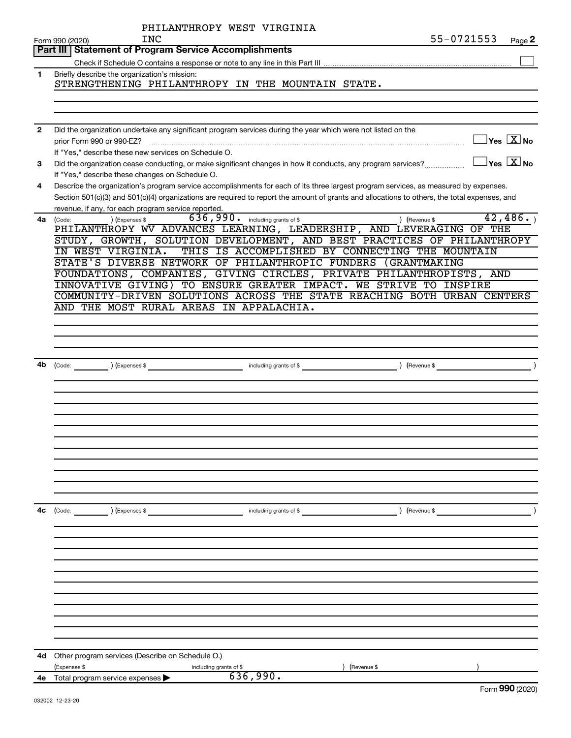|                | PHILANTHROPY WEST VIRGINIA                                                                                                                                                                          |
|----------------|-----------------------------------------------------------------------------------------------------------------------------------------------------------------------------------------------------|
|                | 55-0721553<br>INC<br>Page 2<br>Form 990 (2020)                                                                                                                                                      |
|                | Part III   Statement of Program Service Accomplishments                                                                                                                                             |
|                |                                                                                                                                                                                                     |
| 1              | Briefly describe the organization's mission:<br>STRENGTHENING PHILANTHROPY IN THE MOUNTAIN STATE.                                                                                                   |
|                |                                                                                                                                                                                                     |
|                |                                                                                                                                                                                                     |
| $\overline{2}$ | Did the organization undertake any significant program services during the year which were not listed on the<br>$\overline{\ }$ Yes $\overline{\rm \ }X$ No<br>prior Form 990 or 990-EZ?            |
|                | If "Yes," describe these new services on Schedule O.                                                                                                                                                |
| 3              | $\Box$ Yes $\boxed{\text{X}}$ No<br>Did the organization cease conducting, or make significant changes in how it conducts, any program services?<br>If "Yes," describe these changes on Schedule O. |
| 4              | Describe the organization's program service accomplishments for each of its three largest program services, as measured by expenses.                                                                |
|                | Section 501(c)(3) and 501(c)(4) organizations are required to report the amount of grants and allocations to others, the total expenses, and                                                        |
|                | revenue, if any, for each program service reported.<br>42, 486.                                                                                                                                     |
| 4a             | 636, 990. including grants of \$<br>) (Revenue \$<br>(Expenses \$<br>(Code:<br>PHILANTHROPY WV ADVANCES LEARNING, LEADERSHIP, AND LEVERAGING OF THE                                                 |
|                | STUDY, GROWTH, SOLUTION DEVELOPMENT, AND BEST PRACTICES OF PHILANTHROPY                                                                                                                             |
|                | THIS IS ACCOMPLISHED BY CONNECTING THE MOUNTAIN<br>IN WEST VIRGINIA.                                                                                                                                |
|                | STATE'S DIVERSE NETWORK OF PHILANTHROPIC FUNDERS (GRANTMAKING                                                                                                                                       |
|                | FOUNDATIONS, COMPANIES, GIVING CIRCLES, PRIVATE PHILANTHROPISTS, AND                                                                                                                                |
|                | INNOVATIVE GIVING) TO ENSURE GREATER IMPACT. WE STRIVE TO INSPIRE                                                                                                                                   |
|                | COMMUNITY-DRIVEN SOLUTIONS ACROSS THE STATE REACHING BOTH URBAN CENTERS                                                                                                                             |
|                | AND THE MOST RURAL AREAS IN APPALACHIA.                                                                                                                                                             |
|                |                                                                                                                                                                                                     |
|                |                                                                                                                                                                                                     |
|                |                                                                                                                                                                                                     |
|                |                                                                                                                                                                                                     |
|                |                                                                                                                                                                                                     |
|                |                                                                                                                                                                                                     |
|                |                                                                                                                                                                                                     |
|                |                                                                                                                                                                                                     |
|                |                                                                                                                                                                                                     |
|                |                                                                                                                                                                                                     |
|                |                                                                                                                                                                                                     |
|                |                                                                                                                                                                                                     |
|                |                                                                                                                                                                                                     |
|                |                                                                                                                                                                                                     |
|                |                                                                                                                                                                                                     |
|                |                                                                                                                                                                                                     |
| 4c             | (Code: ) (Expenses \$<br>including grants of \$<br>) (Revenue \$                                                                                                                                    |
|                |                                                                                                                                                                                                     |
|                |                                                                                                                                                                                                     |
|                |                                                                                                                                                                                                     |
|                |                                                                                                                                                                                                     |
|                |                                                                                                                                                                                                     |
|                |                                                                                                                                                                                                     |
|                |                                                                                                                                                                                                     |
|                |                                                                                                                                                                                                     |
|                |                                                                                                                                                                                                     |
|                |                                                                                                                                                                                                     |
|                |                                                                                                                                                                                                     |
|                |                                                                                                                                                                                                     |
| 4d             | Other program services (Describe on Schedule O.)                                                                                                                                                    |
|                | (Expenses \$<br>(Revenue \$<br>including grants of \$                                                                                                                                               |
| 4е             | 636,990.<br>Total program service expenses                                                                                                                                                          |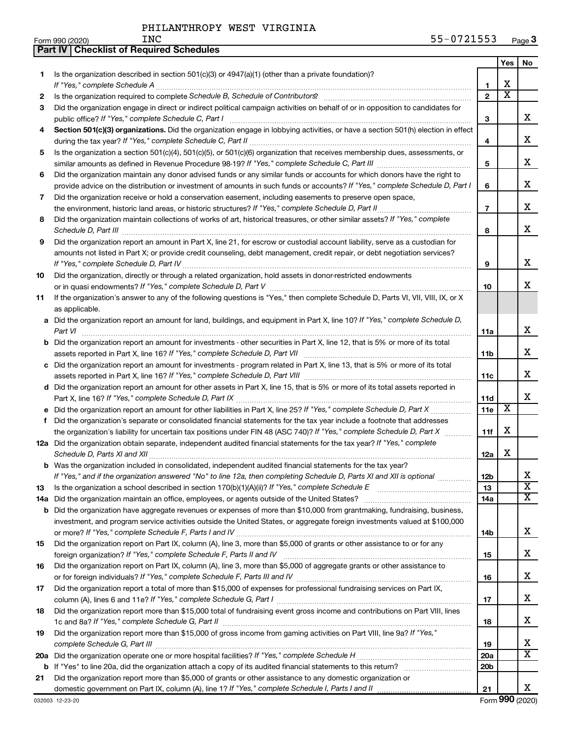**Part IV Checklist of Required Schedules**

|    |                                                                                                                                                                                                                                                           |                 | <b>Yes</b>              | No                           |
|----|-----------------------------------------------------------------------------------------------------------------------------------------------------------------------------------------------------------------------------------------------------------|-----------------|-------------------------|------------------------------|
| 1. | Is the organization described in section $501(c)(3)$ or $4947(a)(1)$ (other than a private foundation)?                                                                                                                                                   |                 |                         |                              |
|    |                                                                                                                                                                                                                                                           | 1               | X                       |                              |
| 2  |                                                                                                                                                                                                                                                           | $\overline{2}$  | $\overline{\text{x}}$   |                              |
| 3  | Did the organization engage in direct or indirect political campaign activities on behalf of or in opposition to candidates for                                                                                                                           |                 |                         |                              |
|    |                                                                                                                                                                                                                                                           | З               |                         | х                            |
| 4  | Section 501(c)(3) organizations. Did the organization engage in lobbying activities, or have a section 501(h) election in effect                                                                                                                          |                 |                         |                              |
|    |                                                                                                                                                                                                                                                           | 4               |                         | х                            |
| 5  | Is the organization a section 501(c)(4), 501(c)(5), or 501(c)(6) organization that receives membership dues, assessments, or                                                                                                                              |                 |                         | х                            |
|    |                                                                                                                                                                                                                                                           | 5               |                         |                              |
| 6  | Did the organization maintain any donor advised funds or any similar funds or accounts for which donors have the right to<br>provide advice on the distribution or investment of amounts in such funds or accounts? If "Yes," complete Schedule D, Part I | 6               |                         | х                            |
| 7  | Did the organization receive or hold a conservation easement, including easements to preserve open space,                                                                                                                                                 |                 |                         |                              |
|    | the environment, historic land areas, or historic structures? If "Yes," complete Schedule D, Part II                                                                                                                                                      | $\overline{7}$  |                         | х                            |
| 8  | Did the organization maintain collections of works of art, historical treasures, or other similar assets? If "Yes," complete                                                                                                                              |                 |                         |                              |
|    | Schedule D, Part III <b>Marting Communities</b> and the contract of the contract of the contract of the contract of the contract of the contract of the contract of the contract of the contract of the contract of the contract of                       | 8               |                         | х                            |
| 9  | Did the organization report an amount in Part X, line 21, for escrow or custodial account liability, serve as a custodian for                                                                                                                             |                 |                         |                              |
|    | amounts not listed in Part X; or provide credit counseling, debt management, credit repair, or debt negotiation services?                                                                                                                                 |                 |                         |                              |
|    |                                                                                                                                                                                                                                                           | 9               |                         | х                            |
| 10 | Did the organization, directly or through a related organization, hold assets in donor-restricted endowments                                                                                                                                              |                 |                         |                              |
|    |                                                                                                                                                                                                                                                           | 10              |                         | x                            |
| 11 | If the organization's answer to any of the following questions is "Yes," then complete Schedule D, Parts VI, VII, VIII, IX, or X                                                                                                                          |                 |                         |                              |
|    | as applicable.                                                                                                                                                                                                                                            |                 |                         |                              |
|    | a Did the organization report an amount for land, buildings, and equipment in Part X, line 10? If "Yes," complete Schedule D,                                                                                                                             |                 |                         | х                            |
|    | Part VI<br><b>b</b> Did the organization report an amount for investments - other securities in Part X, line 12, that is 5% or more of its total                                                                                                          | 11a             |                         |                              |
|    |                                                                                                                                                                                                                                                           | 11b             |                         | х                            |
|    | c Did the organization report an amount for investments - program related in Part X, line 13, that is 5% or more of its total                                                                                                                             |                 |                         |                              |
|    |                                                                                                                                                                                                                                                           | 11c             |                         | х                            |
|    | d Did the organization report an amount for other assets in Part X, line 15, that is 5% or more of its total assets reported in                                                                                                                           |                 |                         |                              |
|    |                                                                                                                                                                                                                                                           | <b>11d</b>      |                         | х                            |
|    |                                                                                                                                                                                                                                                           | 11e             | $\overline{\textbf{x}}$ |                              |
| f  | Did the organization's separate or consolidated financial statements for the tax year include a footnote that addresses                                                                                                                                   |                 |                         |                              |
|    | the organization's liability for uncertain tax positions under FIN 48 (ASC 740)? If "Yes," complete Schedule D, Part X                                                                                                                                    | 11f             | х                       |                              |
|    | 12a Did the organization obtain separate, independent audited financial statements for the tax year? If "Yes," complete                                                                                                                                   |                 |                         |                              |
|    |                                                                                                                                                                                                                                                           | 12a             | Х                       |                              |
|    | <b>b</b> Was the organization included in consolidated, independent audited financial statements for the tax year?                                                                                                                                        |                 |                         |                              |
|    | If "Yes," and if the organization answered "No" to line 12a, then completing Schedule D, Parts XI and XII is optional                                                                                                                                     | 12b             |                         | ▵<br>$\overline{\textbf{x}}$ |
| 13 |                                                                                                                                                                                                                                                           | 13<br>14a       |                         | х                            |
|    | 14a Did the organization maintain an office, employees, or agents outside of the United States?<br><b>b</b> Did the organization have aggregate revenues or expenses of more than \$10,000 from grantmaking, fundraising, business,                       |                 |                         |                              |
|    | investment, and program service activities outside the United States, or aggregate foreign investments valued at \$100,000                                                                                                                                |                 |                         |                              |
|    |                                                                                                                                                                                                                                                           | 14b             |                         | x                            |
| 15 | Did the organization report on Part IX, column (A), line 3, more than \$5,000 of grants or other assistance to or for any                                                                                                                                 |                 |                         |                              |
|    |                                                                                                                                                                                                                                                           | 15              |                         | x                            |
| 16 | Did the organization report on Part IX, column (A), line 3, more than \$5,000 of aggregate grants or other assistance to                                                                                                                                  |                 |                         |                              |
|    |                                                                                                                                                                                                                                                           | 16              |                         | х                            |
| 17 | Did the organization report a total of more than \$15,000 of expenses for professional fundraising services on Part IX,                                                                                                                                   |                 |                         |                              |
|    |                                                                                                                                                                                                                                                           | 17              |                         | х                            |
| 18 | Did the organization report more than \$15,000 total of fundraising event gross income and contributions on Part VIII, lines                                                                                                                              |                 |                         |                              |
|    | Did the organization report more than \$15,000 of gross income from gaming activities on Part VIII, line 9a? If "Yes,"                                                                                                                                    | 18              |                         | x                            |
| 19 |                                                                                                                                                                                                                                                           | 19              |                         | x                            |
|    |                                                                                                                                                                                                                                                           | 20a             |                         | X                            |
|    |                                                                                                                                                                                                                                                           | 20 <sub>b</sub> |                         |                              |
| 21 | Did the organization report more than \$5,000 of grants or other assistance to any domestic organization or                                                                                                                                               |                 |                         |                              |
|    |                                                                                                                                                                                                                                                           | 21              |                         | x                            |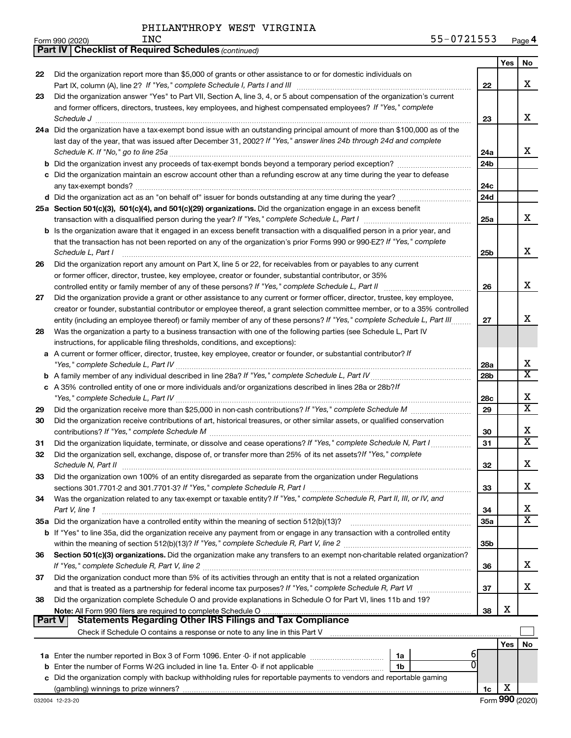|               | <b>Part IV   Checklist of Required Schedules (continued)</b>                                                                        |                 |     |                         |
|---------------|-------------------------------------------------------------------------------------------------------------------------------------|-----------------|-----|-------------------------|
|               |                                                                                                                                     |                 | Yes | No                      |
| 22            | Did the organization report more than \$5,000 of grants or other assistance to or for domestic individuals on                       |                 |     |                         |
|               |                                                                                                                                     | 22              |     | X                       |
| 23            | Did the organization answer "Yes" to Part VII, Section A, line 3, 4, or 5 about compensation of the organization's current          |                 |     |                         |
|               | and former officers, directors, trustees, key employees, and highest compensated employees? If "Yes," complete                      |                 |     |                         |
|               | Schedule J <b>Martin Communication Communication</b> Construction Communication Communication Communication Communication           | 23              |     | x                       |
|               | 24a Did the organization have a tax-exempt bond issue with an outstanding principal amount of more than \$100,000 as of the         |                 |     |                         |
|               | last day of the year, that was issued after December 31, 2002? If "Yes," answer lines 24b through 24d and complete                  |                 |     |                         |
|               |                                                                                                                                     | 24a             |     | x                       |
|               |                                                                                                                                     | 24 <sub>b</sub> |     |                         |
|               | c Did the organization maintain an escrow account other than a refunding escrow at any time during the year to defease              |                 |     |                         |
|               |                                                                                                                                     | 24c             |     |                         |
|               |                                                                                                                                     | 24d             |     |                         |
|               | 25a Section 501(c)(3), 501(c)(4), and 501(c)(29) organizations. Did the organization engage in an excess benefit                    |                 |     |                         |
|               |                                                                                                                                     | 25a             |     | x                       |
|               | <b>b</b> Is the organization aware that it engaged in an excess benefit transaction with a disqualified person in a prior year, and |                 |     |                         |
|               | that the transaction has not been reported on any of the organization's prior Forms 990 or 990-EZ? If "Yes," complete               |                 |     |                         |
|               | Schedule L, Part I                                                                                                                  | 25 <sub>b</sub> |     | x                       |
| 26            | Did the organization report any amount on Part X, line 5 or 22, for receivables from or payables to any current                     |                 |     |                         |
|               | or former officer, director, trustee, key employee, creator or founder, substantial contributor, or 35%                             |                 |     |                         |
|               | controlled entity or family member of any of these persons? If "Yes," complete Schedule L, Part II                                  | 26              |     | х                       |
| 27            | Did the organization provide a grant or other assistance to any current or former officer, director, trustee, key employee,         |                 |     |                         |
|               | creator or founder, substantial contributor or employee thereof, a grant selection committee member, or to a 35% controlled         |                 |     |                         |
|               | entity (including an employee thereof) or family member of any of these persons? If "Yes," complete Schedule L, Part III            | 27              |     | х                       |
| 28            | Was the organization a party to a business transaction with one of the following parties (see Schedule L, Part IV                   |                 |     |                         |
|               | instructions, for applicable filing thresholds, conditions, and exceptions):                                                        |                 |     |                         |
| а             | A current or former officer, director, trustee, key employee, creator or founder, or substantial contributor? If                    |                 |     |                         |
|               |                                                                                                                                     | 28a             |     | х                       |
|               |                                                                                                                                     | 28b             |     | $\overline{\texttt{x}}$ |
|               | c A 35% controlled entity of one or more individuals and/or organizations described in lines 28a or 28b?!f                          |                 |     |                         |
|               |                                                                                                                                     | 28c             |     | х                       |
| 29            |                                                                                                                                     | 29              |     | X                       |
| 30            | Did the organization receive contributions of art, historical treasures, or other similar assets, or qualified conservation         |                 |     |                         |
|               |                                                                                                                                     | 30              |     | X                       |
| 31            | Did the organization liquidate, terminate, or dissolve and cease operations? If "Yes," complete Schedule N, Part I                  | 31              |     | $\overline{\textbf{X}}$ |
| 32            | Did the organization sell, exchange, dispose of, or transfer more than 25% of its net assets? If "Yes," complete                    |                 |     |                         |
|               | Schedule N, Part II                                                                                                                 | 32              |     | Χ                       |
| 33            | Did the organization own 100% of an entity disregarded as separate from the organization under Regulations                          |                 |     |                         |
|               |                                                                                                                                     | 33              |     | x                       |
| 34            | Was the organization related to any tax-exempt or taxable entity? If "Yes," complete Schedule R, Part II, III, or IV, and           |                 |     |                         |
|               | Part V, line 1                                                                                                                      | 34              |     | х                       |
|               | 35a Did the organization have a controlled entity within the meaning of section 512(b)(13)?                                         | 35a             |     | $\overline{\mathbf{X}}$ |
|               | b If "Yes" to line 35a, did the organization receive any payment from or engage in any transaction with a controlled entity         |                 |     |                         |
|               |                                                                                                                                     | 35b             |     |                         |
| 36            | Section 501(c)(3) organizations. Did the organization make any transfers to an exempt non-charitable related organization?          |                 |     |                         |
|               |                                                                                                                                     | 36              |     | x                       |
| 37            | Did the organization conduct more than 5% of its activities through an entity that is not a related organization                    |                 |     |                         |
|               |                                                                                                                                     | 37              |     | x                       |
| 38            | Did the organization complete Schedule O and provide explanations in Schedule O for Part VI, lines 11b and 19?                      |                 |     |                         |
| <b>Part V</b> |                                                                                                                                     | 38              | х   |                         |
|               |                                                                                                                                     |                 |     |                         |
|               |                                                                                                                                     |                 | Yes | No                      |
|               | 6<br>1a                                                                                                                             |                 |     |                         |
| b             | Enter the number of Forms W-2G included in line 1a. Enter -0- if not applicable<br>1b                                               |                 |     |                         |
|               | Did the organization comply with backup withholding rules for reportable payments to vendors and reportable gaming                  |                 |     |                         |
|               |                                                                                                                                     | 1c              | х   |                         |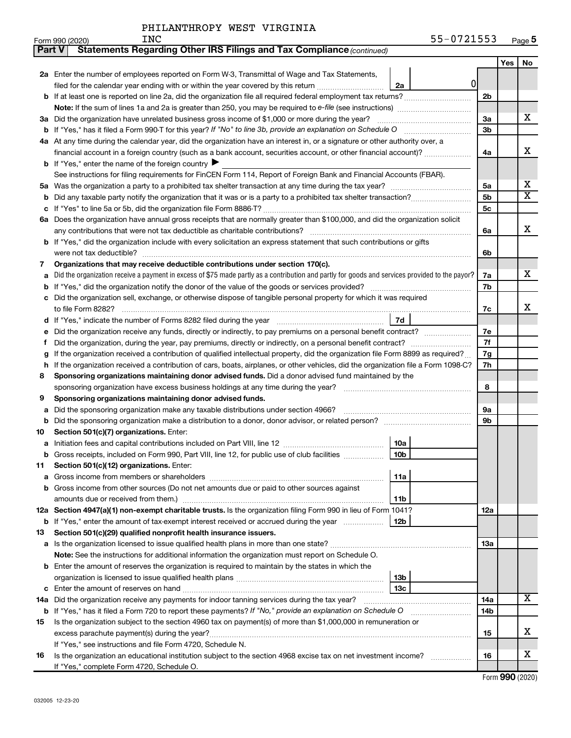|    | <b>Statements Regarding Other IRS Filings and Tax Compliance (continued)</b><br>Part V                                                          |     |     |                         |  |  |  |  |  |
|----|-------------------------------------------------------------------------------------------------------------------------------------------------|-----|-----|-------------------------|--|--|--|--|--|
|    |                                                                                                                                                 |     | Yes | No                      |  |  |  |  |  |
|    | 2a Enter the number of employees reported on Form W-3, Transmittal of Wage and Tax Statements,                                                  |     |     |                         |  |  |  |  |  |
|    | 0<br>filed for the calendar year ending with or within the year covered by this return<br>2a                                                    |     |     |                         |  |  |  |  |  |
|    |                                                                                                                                                 | 2b  |     |                         |  |  |  |  |  |
|    |                                                                                                                                                 |     |     |                         |  |  |  |  |  |
|    | 3a Did the organization have unrelated business gross income of \$1,000 or more during the year?                                                | 3a  |     | x                       |  |  |  |  |  |
|    |                                                                                                                                                 |     |     |                         |  |  |  |  |  |
|    | 4a At any time during the calendar year, did the organization have an interest in, or a signature or other authority over, a                    |     |     |                         |  |  |  |  |  |
|    | financial account in a foreign country (such as a bank account, securities account, or other financial account)?                                | 4a  |     | х                       |  |  |  |  |  |
|    | <b>b</b> If "Yes," enter the name of the foreign country $\blacktriangleright$                                                                  |     |     |                         |  |  |  |  |  |
|    | See instructions for filing requirements for FinCEN Form 114, Report of Foreign Bank and Financial Accounts (FBAR).                             |     |     |                         |  |  |  |  |  |
|    |                                                                                                                                                 | 5a  |     | х                       |  |  |  |  |  |
| b  |                                                                                                                                                 | 5b  |     | $\overline{\textbf{X}}$ |  |  |  |  |  |
| с  |                                                                                                                                                 | 5c  |     |                         |  |  |  |  |  |
|    | 6a Does the organization have annual gross receipts that are normally greater than \$100,000, and did the organization solicit                  |     |     |                         |  |  |  |  |  |
|    |                                                                                                                                                 | 6a  |     | x                       |  |  |  |  |  |
|    | <b>b</b> If "Yes," did the organization include with every solicitation an express statement that such contributions or gifts                   |     |     |                         |  |  |  |  |  |
|    |                                                                                                                                                 | 6b  |     |                         |  |  |  |  |  |
| 7  | Organizations that may receive deductible contributions under section 170(c).                                                                   |     |     |                         |  |  |  |  |  |
| a  | Did the organization receive a payment in excess of \$75 made partly as a contribution and partly for goods and services provided to the payor? | 7a  |     | x                       |  |  |  |  |  |
|    |                                                                                                                                                 | 7b  |     |                         |  |  |  |  |  |
|    | c Did the organization sell, exchange, or otherwise dispose of tangible personal property for which it was required                             |     |     |                         |  |  |  |  |  |
|    |                                                                                                                                                 | 7c  |     | x                       |  |  |  |  |  |
|    | 7d                                                                                                                                              |     |     |                         |  |  |  |  |  |
| е  | Did the organization receive any funds, directly or indirectly, to pay premiums on a personal benefit contract?                                 | 7е  |     |                         |  |  |  |  |  |
| f. |                                                                                                                                                 | 7f  |     |                         |  |  |  |  |  |
|    | If the organization received a contribution of qualified intellectual property, did the organization file Form 8899 as required?                | 7g  |     |                         |  |  |  |  |  |
|    | h If the organization received a contribution of cars, boats, airplanes, or other vehicles, did the organization file a Form 1098-C?            | 7h  |     |                         |  |  |  |  |  |
| 8  | Sponsoring organizations maintaining donor advised funds. Did a donor advised fund maintained by the                                            |     |     |                         |  |  |  |  |  |
|    |                                                                                                                                                 | 8   |     |                         |  |  |  |  |  |
| 9  | Sponsoring organizations maintaining donor advised funds.                                                                                       |     |     |                         |  |  |  |  |  |
| а  | Did the sponsoring organization make any taxable distributions under section 4966?                                                              | 9а  |     |                         |  |  |  |  |  |
|    |                                                                                                                                                 | 9b  |     |                         |  |  |  |  |  |
| 10 | Section 501(c)(7) organizations. Enter:                                                                                                         |     |     |                         |  |  |  |  |  |
|    | 10a                                                                                                                                             |     |     |                         |  |  |  |  |  |
|    | 10 <sub>b</sub><br>b Gross receipts, included on Form 990, Part VIII, line 12, for public use of club facilities                                |     |     |                         |  |  |  |  |  |
| 11 | Section 501(c)(12) organizations. Enter:                                                                                                        |     |     |                         |  |  |  |  |  |
| а  | 11a                                                                                                                                             |     |     |                         |  |  |  |  |  |
|    | b Gross income from other sources (Do not net amounts due or paid to other sources against                                                      |     |     |                         |  |  |  |  |  |
|    | 11b                                                                                                                                             |     |     |                         |  |  |  |  |  |
|    | 12a Section 4947(a)(1) non-exempt charitable trusts. Is the organization filing Form 990 in lieu of Form 1041?                                  | 12a |     |                         |  |  |  |  |  |
|    | <b>b</b> If "Yes," enter the amount of tax-exempt interest received or accrued during the year<br>12b                                           |     |     |                         |  |  |  |  |  |
| 13 | Section 501(c)(29) qualified nonprofit health insurance issuers.                                                                                |     |     |                         |  |  |  |  |  |
|    | a Is the organization licensed to issue qualified health plans in more than one state?                                                          | 13a |     |                         |  |  |  |  |  |
|    | Note: See the instructions for additional information the organization must report on Schedule O.                                               |     |     |                         |  |  |  |  |  |
|    | <b>b</b> Enter the amount of reserves the organization is required to maintain by the states in which the                                       |     |     |                         |  |  |  |  |  |
|    | 13b                                                                                                                                             |     |     |                         |  |  |  |  |  |
| с  | 13 <sub>c</sub>                                                                                                                                 |     |     |                         |  |  |  |  |  |
|    | 14a Did the organization receive any payments for indoor tanning services during the tax year?                                                  | 14a |     | x                       |  |  |  |  |  |
|    | <b>b</b> If "Yes," has it filed a Form 720 to report these payments? If "No," provide an explanation on Schedule O                              | 14b |     |                         |  |  |  |  |  |
| 15 | Is the organization subject to the section 4960 tax on payment(s) of more than \$1,000,000 in remuneration or                                   |     |     |                         |  |  |  |  |  |
|    |                                                                                                                                                 | 15  |     | x                       |  |  |  |  |  |
|    | If "Yes," see instructions and file Form 4720, Schedule N.                                                                                      |     |     |                         |  |  |  |  |  |
| 16 | Is the organization an educational institution subject to the section 4968 excise tax on net investment income?                                 | 16  |     | х                       |  |  |  |  |  |
|    | If "Yes," complete Form 4720, Schedule O.                                                                                                       |     |     |                         |  |  |  |  |  |

Form (2020) **990**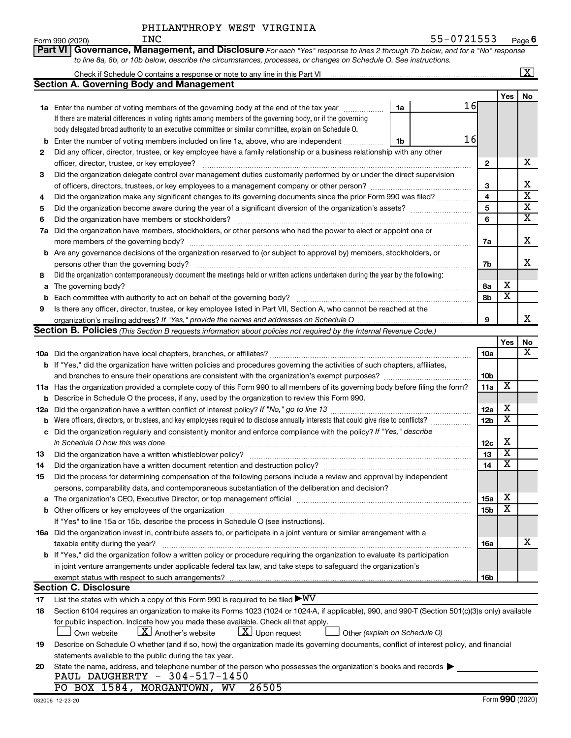| PHILANTHROPY WEST VIRGINIA |
|----------------------------|
|                            |

|     | Part VI Governance, Management, and Disclosure For each "Yes" response to lines 2 through 7b below, and for a "No" response                                                                                                                                                                                                         |     |                              |                         |
|-----|-------------------------------------------------------------------------------------------------------------------------------------------------------------------------------------------------------------------------------------------------------------------------------------------------------------------------------------|-----|------------------------------|-------------------------|
|     | to line 8a, 8b, or 10b below, describe the circumstances, processes, or changes on Schedule O. See instructions.                                                                                                                                                                                                                    |     |                              |                         |
|     | Check if Schedule O contains a response or note to any line in this Part VI [11] [12] [12] [12] [12] [12] Check if Schedule O contains a response or note to any line in this Part VI                                                                                                                                               |     |                              | $\overline{\mathbf{x}}$ |
|     | <b>Section A. Governing Body and Management</b>                                                                                                                                                                                                                                                                                     |     |                              |                         |
|     |                                                                                                                                                                                                                                                                                                                                     |     | Yes                          | No                      |
|     | 16<br>1a Enter the number of voting members of the governing body at the end of the tax year<br>1a                                                                                                                                                                                                                                  |     |                              |                         |
|     | If there are material differences in voting rights among members of the governing body, or if the governing                                                                                                                                                                                                                         |     |                              |                         |
|     | body delegated broad authority to an executive committee or similar committee, explain on Schedule O.                                                                                                                                                                                                                               |     |                              |                         |
| b   | 16<br>Enter the number of voting members included on line 1a, above, who are independent<br>1b                                                                                                                                                                                                                                      |     |                              |                         |
| 2   | Did any officer, director, trustee, or key employee have a family relationship or a business relationship with any other                                                                                                                                                                                                            |     |                              |                         |
|     | officer, director, trustee, or key employee?                                                                                                                                                                                                                                                                                        | 2   |                              | х                       |
| 3   | Did the organization delegate control over management duties customarily performed by or under the direct supervision                                                                                                                                                                                                               |     |                              |                         |
|     |                                                                                                                                                                                                                                                                                                                                     | 3   |                              | х                       |
| 4   | Did the organization make any significant changes to its governing documents since the prior Form 990 was filed?                                                                                                                                                                                                                    | 4   |                              | $\overline{\textbf{x}}$ |
| 5   |                                                                                                                                                                                                                                                                                                                                     | 5   |                              | $\overline{\mathbf{X}}$ |
| 6   |                                                                                                                                                                                                                                                                                                                                     | 6   |                              | $\overline{\textbf{X}}$ |
| 7a  | Did the organization have members, stockholders, or other persons who had the power to elect or appoint one or                                                                                                                                                                                                                      |     |                              |                         |
|     |                                                                                                                                                                                                                                                                                                                                     | 7a  |                              | X                       |
| b   | Are any governance decisions of the organization reserved to (or subject to approval by) members, stockholders, or                                                                                                                                                                                                                  |     |                              |                         |
|     | persons other than the governing body?                                                                                                                                                                                                                                                                                              | 7b  |                              | x                       |
| 8   | Did the organization contemporaneously document the meetings held or written actions undertaken during the year by the following:                                                                                                                                                                                                   |     |                              |                         |
| а   |                                                                                                                                                                                                                                                                                                                                     | 8а  | х                            |                         |
| b   | Each committee with authority to act on behalf of the governing body?                                                                                                                                                                                                                                                               | 8b  | $\overline{\mathbf{x}}$      |                         |
| 9   | Is there any officer, director, trustee, or key employee listed in Part VII, Section A, who cannot be reached at the                                                                                                                                                                                                                |     |                              |                         |
|     |                                                                                                                                                                                                                                                                                                                                     | 9   |                              | x                       |
|     | <b>Section B. Policies</b> (This Section B requests information about policies not required by the Internal Revenue Code.)                                                                                                                                                                                                          |     |                              |                         |
|     |                                                                                                                                                                                                                                                                                                                                     |     | Yes                          | No                      |
|     |                                                                                                                                                                                                                                                                                                                                     | 10a |                              | x                       |
|     | <b>b</b> If "Yes," did the organization have written policies and procedures governing the activities of such chapters, affiliates,                                                                                                                                                                                                 |     |                              |                         |
|     |                                                                                                                                                                                                                                                                                                                                     | 10b |                              |                         |
|     | 11a Has the organization provided a complete copy of this Form 990 to all members of its governing body before filing the form?                                                                                                                                                                                                     | 11a | X                            |                         |
| b   | Describe in Schedule O the process, if any, used by the organization to review this Form 990.                                                                                                                                                                                                                                       |     |                              |                         |
| 12a |                                                                                                                                                                                                                                                                                                                                     | 12a | х<br>$\overline{\mathbf{X}}$ |                         |
| b   | Were officers, directors, or trustees, and key employees required to disclose annually interests that could give rise to conflicts?                                                                                                                                                                                                 | 12b |                              |                         |
| с   | Did the organization regularly and consistently monitor and enforce compliance with the policy? If "Yes," describe                                                                                                                                                                                                                  |     | X                            |                         |
|     | in Schedule O how this was done <i>manually chedule O</i> how this was done                                                                                                                                                                                                                                                         | 12c | $\overline{\mathbf{X}}$      |                         |
| 13  |                                                                                                                                                                                                                                                                                                                                     | 13  | $\overline{\mathtt{x}}$      |                         |
| 14  | Did the organization have a written document retention and destruction policy? [111] [12] manument content and the organization have a written document retention and destruction policy?                                                                                                                                           | 14  |                              |                         |
| 15  | Did the process for determining compensation of the following persons include a review and approval by independent                                                                                                                                                                                                                  |     |                              |                         |
|     | persons, comparability data, and contemporaneous substantiation of the deliberation and decision?<br>The organization's CEO, Executive Director, or top management official manufactured content of the organization's CEO, Executive Director, or top management official manufactured content of the state of the state of the st | 15a | х                            |                         |
|     |                                                                                                                                                                                                                                                                                                                                     |     | $\overline{\mathbf{x}}$      |                         |
|     | If "Yes" to line 15a or 15b, describe the process in Schedule O (see instructions).                                                                                                                                                                                                                                                 | 15b |                              |                         |
|     | 16a Did the organization invest in, contribute assets to, or participate in a joint venture or similar arrangement with a                                                                                                                                                                                                           |     |                              |                         |
|     | taxable entity during the year?                                                                                                                                                                                                                                                                                                     | 16a |                              | x                       |
|     | b If "Yes," did the organization follow a written policy or procedure requiring the organization to evaluate its participation                                                                                                                                                                                                      |     |                              |                         |
|     | in joint venture arrangements under applicable federal tax law, and take steps to safeguard the organization's                                                                                                                                                                                                                      |     |                              |                         |
|     | exempt status with respect to such arrangements?                                                                                                                                                                                                                                                                                    | 16b |                              |                         |
|     | <b>Section C. Disclosure</b>                                                                                                                                                                                                                                                                                                        |     |                              |                         |
| 17  | List the states with which a copy of this Form 990 is required to be filed $\blacktriangleright\text{WV}$                                                                                                                                                                                                                           |     |                              |                         |
| 18  | Section 6104 requires an organization to make its Forms 1023 (1024 or 1024-A, if applicable), 990, and 990-T (Section 501(c)(3)s only) available                                                                                                                                                                                    |     |                              |                         |
|     | for public inspection. Indicate how you made these available. Check all that apply.                                                                                                                                                                                                                                                 |     |                              |                         |
|     | $\lfloor \underline{X} \rfloor$ Another's website<br>$\lfloor \underline{X} \rfloor$ Upon request<br>Own website<br>Other (explain on Schedule O)                                                                                                                                                                                   |     |                              |                         |
| 19  | Describe on Schedule O whether (and if so, how) the organization made its governing documents, conflict of interest policy, and financial                                                                                                                                                                                           |     |                              |                         |
|     | statements available to the public during the tax year.                                                                                                                                                                                                                                                                             |     |                              |                         |
| 20  | State the name, address, and telephone number of the person who possesses the organization's books and records                                                                                                                                                                                                                      |     |                              |                         |
|     | PAUL DAUGHERTY - 304-517-1450                                                                                                                                                                                                                                                                                                       |     |                              |                         |
|     | PO BOX 1584, MORGANTOWN, WV 26505                                                                                                                                                                                                                                                                                                   |     |                              |                         |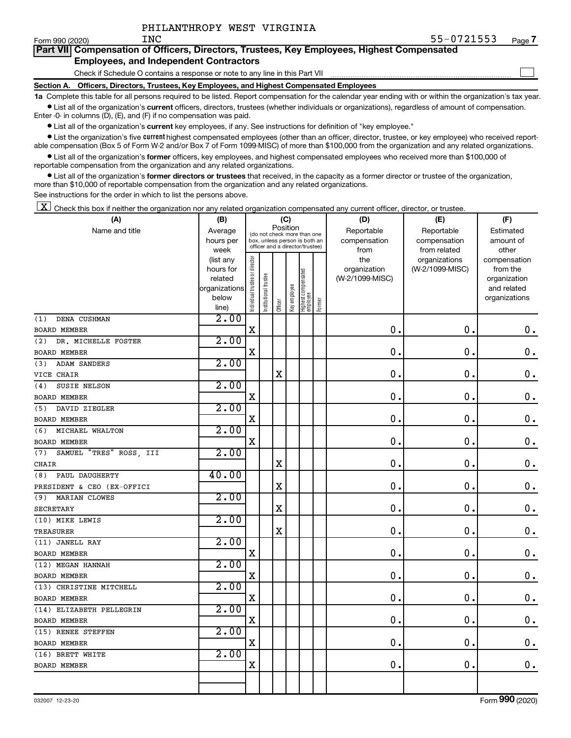$\mathcal{L}^{\text{eff}}$ 

| Form 990 (2020) | TMC |  | ك 35−077 ك 55−                                                                             | Page |
|-----------------|-----|--|--------------------------------------------------------------------------------------------|------|
|                 |     |  | Part VII Compensation of Officers, Directors, Trustees, Key Employees, Highest Compensated |      |

#### **Employees, and Independent Contractors**

Check if Schedule O contains a response or note to any line in this Part VII

**Section A. Officers, Directors, Trustees, Key Employees, and Highest Compensated Employees**

**1a**  Complete this table for all persons required to be listed. Report compensation for the calendar year ending with or within the organization's tax year.  $\bullet$  List all of the organization's current officers, directors, trustees (whether individuals or organizations), regardless of amount of compensation.

Enter -0- in columns (D), (E), and (F) if no compensation was paid.

**•** List all of the organization's current key employees, if any. See instructions for definition of "key employee."

**•** List the organization's five *current* highest compensated employees (other than an officer, director, trustee, or key employee) who received reportable compensation (Box 5 of Form W-2 and/or Box 7 of Form 1099-MISC) of more than \$100,000 from the organization and any related organizations.

 $\bullet$  List all of the organization's former officers, key employees, and highest compensated employees who received more than \$100,000 of reportable compensation from the organization and any related organizations.

**•** List all of the organization's former directors or trustees that received, in the capacity as a former director or trustee of the organization, more than \$10,000 of reportable compensation from the organization and any related organizations.

See instructions for the order in which to list the persons above.

 $\boxed{\textbf{X}}$  Check this box if neither the organization nor any related organization compensated any current officer, director, or trustee.

| (A)                            | (B)            |                                |                                                                  | (C)      |              |                                 |        | (D)             | (E)             | (F)           |
|--------------------------------|----------------|--------------------------------|------------------------------------------------------------------|----------|--------------|---------------------------------|--------|-----------------|-----------------|---------------|
| Name and title                 | Average        |                                | (do not check more than one                                      | Position |              |                                 |        | Reportable      | Reportable      | Estimated     |
|                                | hours per      |                                | box, unless person is both an<br>officer and a director/trustee) |          |              |                                 |        | compensation    | compensation    | amount of     |
|                                | week           |                                |                                                                  |          |              |                                 |        | from            | from related    | other         |
|                                | (list any      |                                |                                                                  |          |              |                                 |        | the             | organizations   | compensation  |
|                                | hours for      |                                |                                                                  |          |              |                                 |        | organization    | (W-2/1099-MISC) | from the      |
|                                | related        |                                |                                                                  |          |              |                                 |        | (W-2/1099-MISC) |                 | organization  |
|                                | organizations  |                                |                                                                  |          |              |                                 |        |                 |                 | and related   |
|                                | below<br>line) | Individual trustee or director | Institutional trustee                                            | Officer  | Key employee | Highest compensated<br>employee | Former |                 |                 | organizations |
| DENA CUSHMAN<br>(1)            | 2.00           |                                |                                                                  |          |              |                                 |        |                 |                 |               |
| <b>BOARD MEMBER</b>            |                | X                              |                                                                  |          |              |                                 |        | 0.              | $\mathbf 0$     | $\mathbf 0$ . |
| DR. MICHELLE FOSTER<br>(2)     | 2.00           |                                |                                                                  |          |              |                                 |        |                 |                 |               |
| <b>BOARD MEMBER</b>            |                | Χ                              |                                                                  |          |              |                                 |        | 0.              | $\mathbf 0$     | $\mathbf 0$ . |
| (3)<br><b>ADAM SANDERS</b>     | 2.00           |                                |                                                                  |          |              |                                 |        |                 |                 |               |
| VICE CHAIR                     |                |                                |                                                                  | X        |              |                                 |        | 0.              | $\mathbf 0$     | $0$ .         |
| SUSIE NELSON<br>(4)            | 2.00           |                                |                                                                  |          |              |                                 |        |                 |                 |               |
| <b>BOARD MEMBER</b>            |                | X                              |                                                                  |          |              |                                 |        | 0.              | $\mathbf 0$     | $\mathbf 0$ . |
| DAVID ZIEGLER<br>(5)           | 2.00           |                                |                                                                  |          |              |                                 |        |                 |                 |               |
| <b>BOARD MEMBER</b>            |                | X                              |                                                                  |          |              |                                 |        | $\mathbf 0$ .   | $\mathbf 0$ .   | $\mathbf 0$ . |
| MICHAEL WHALTON<br>(6)         | 2.00           |                                |                                                                  |          |              |                                 |        |                 |                 |               |
| <b>BOARD MEMBER</b>            |                | X                              |                                                                  |          |              |                                 |        | 0.              | $\mathbf 0$ .   | $\mathbf 0$ . |
| SAMUEL "TRES" ROSS, III<br>(7) | 2.00           |                                |                                                                  |          |              |                                 |        |                 |                 |               |
| <b>CHAIR</b>                   |                |                                |                                                                  | X        |              |                                 |        | 0.              | $\mathbf 0$ .   | 0.            |
| PAUL DAUGHERTY<br>(8)          | 40.00          |                                |                                                                  |          |              |                                 |        |                 |                 |               |
| PRESIDENT & CEO (EX-OFFICI     |                |                                |                                                                  | X        |              |                                 |        | 0.              | $\mathbf 0$     | $\mathbf 0$ . |
| MARIAN CLOWES<br>(9)           | 2.00           |                                |                                                                  |          |              |                                 |        |                 |                 |               |
| <b>SECRETARY</b>               |                |                                |                                                                  | X        |              |                                 |        | 0.              | $\mathbf 0$     | $\mathbf 0$ . |
| (10) MIKE LEWIS                | 2.00           |                                |                                                                  |          |              |                                 |        |                 |                 |               |
| <b>TREASURER</b>               |                |                                |                                                                  | X        |              |                                 |        | $\mathbf 0$ .   | 0               | $\mathbf 0$ . |
| (11) JANELL RAY                | 2.00           |                                |                                                                  |          |              |                                 |        |                 |                 |               |
| <b>BOARD MEMBER</b>            |                | $\mathbf X$                    |                                                                  |          |              |                                 |        | 0.              | 0               | $\mathbf 0$ . |
| (12) MEGAN HANNAH              | 2.00           |                                |                                                                  |          |              |                                 |        |                 |                 |               |
| <b>BOARD MEMBER</b>            |                | X                              |                                                                  |          |              |                                 |        | 0.              | $\mathbf 0$     | $\mathbf 0$ . |
| (13) CHRISTINE MITCHELL        | 2.00           |                                |                                                                  |          |              |                                 |        |                 |                 |               |
| <b>BOARD MEMBER</b>            |                | $\mathbf X$                    |                                                                  |          |              |                                 |        | 0.              | $\mathbf 0$ .   | $\mathbf 0$ . |
| (14) ELIZABETH PELLEGRIN       | 2.00           |                                |                                                                  |          |              |                                 |        |                 |                 |               |
| <b>BOARD MEMBER</b>            |                | X                              |                                                                  |          |              |                                 |        | $\mathbf 0$ .   | $\mathbf 0$     | $\mathbf 0$ . |
| (15) RENEE STEFFEN             | 2.00           |                                |                                                                  |          |              |                                 |        |                 |                 |               |
| <b>BOARD MEMBER</b>            |                | $\mathbf X$                    |                                                                  |          |              |                                 |        | 0.              | $\mathbf 0$ .   | $0$ .         |
| (16) BRETT WHITE               | 2.00           |                                |                                                                  |          |              |                                 |        |                 |                 |               |
| BOARD MEMBER                   |                | X                              |                                                                  |          |              |                                 |        | 0.              | 0               | 0.            |
|                                |                |                                |                                                                  |          |              |                                 |        |                 |                 |               |
|                                |                |                                |                                                                  |          |              |                                 |        |                 |                 |               |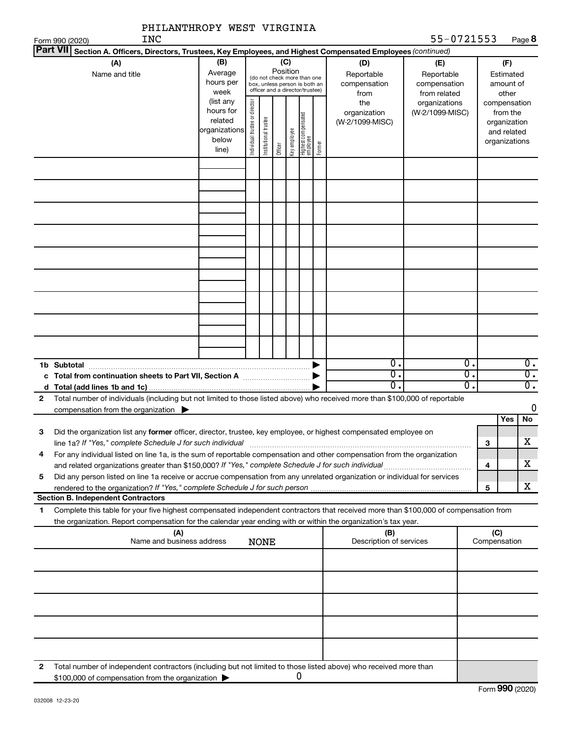|                                    | PHILANTHROPY WEST VIRGINIA                                                                                                                                                                                                                             |                                |                       |         |              |                                 |                                                                                                 |                                                |                                                  |                                   |                                                                                   |                               |                                                 |
|------------------------------------|--------------------------------------------------------------------------------------------------------------------------------------------------------------------------------------------------------------------------------------------------------|--------------------------------|-----------------------|---------|--------------|---------------------------------|-------------------------------------------------------------------------------------------------|------------------------------------------------|--------------------------------------------------|-----------------------------------|-----------------------------------------------------------------------------------|-------------------------------|-------------------------------------------------|
| Form 990 (2020)<br><b>Part VII</b> | <b>INC</b>                                                                                                                                                                                                                                             |                                |                       |         |              |                                 |                                                                                                 |                                                |                                                  | 55-0721553                        |                                                                                   |                               | Page 8                                          |
|                                    | Section A. Officers, Directors, Trustees, Key Employees, and Highest Compensated Employees (continued)<br>(A)<br>Name and title                                                                                                                        | (B)<br>Average<br>hours per    |                       |         | Position     | (C)                             | (do not check more than one<br>box, unless person is both an<br>officer and a director/trustee) |                                                | (D)<br>Reportable<br>compensation                | (E)<br>Reportable<br>compensation |                                                                                   | (F)<br>Estimated<br>amount of |                                                 |
|                                    | week<br>(list any<br>hours for<br>related<br>organizations<br>below<br>line)                                                                                                                                                                           | Individual trustee or director | Institutional trustee | Officer | Key employee | Highest compensated<br>employee | Former                                                                                          | from<br>the<br>organization<br>(W-2/1099-MISC) | from related<br>organizations<br>(W-2/1099-MISC) |                                   | other<br>compensation<br>from the<br>organization<br>and related<br>organizations |                               |                                                 |
|                                    |                                                                                                                                                                                                                                                        |                                |                       |         |              |                                 |                                                                                                 |                                                |                                                  |                                   |                                                                                   |                               |                                                 |
|                                    |                                                                                                                                                                                                                                                        |                                |                       |         |              |                                 |                                                                                                 |                                                |                                                  |                                   |                                                                                   |                               |                                                 |
|                                    |                                                                                                                                                                                                                                                        |                                |                       |         |              |                                 |                                                                                                 |                                                |                                                  |                                   |                                                                                   |                               |                                                 |
|                                    |                                                                                                                                                                                                                                                        |                                |                       |         |              |                                 |                                                                                                 |                                                |                                                  |                                   |                                                                                   |                               |                                                 |
| 1b Subtotal                        |                                                                                                                                                                                                                                                        |                                |                       |         |              |                                 |                                                                                                 |                                                | $\overline{\mathbf{0}}$ .                        |                                   | Ο.                                                                                |                               | $\overline{0}$ .                                |
|                                    |                                                                                                                                                                                                                                                        |                                |                       |         |              |                                 |                                                                                                 |                                                | σ.<br>0.                                         |                                   | σ.<br>σ.                                                                          |                               | $\overline{0}$ .<br>$\overline{\mathfrak{0}}$ . |
| $\mathbf{2}$                       | Total number of individuals (including but not limited to those listed above) who received more than \$100,000 of reportable<br>compensation from the organization $\blacktriangleright$                                                               |                                |                       |         |              |                                 |                                                                                                 |                                                |                                                  |                                   |                                                                                   |                               | 0                                               |
| 3                                  | Did the organization list any former officer, director, trustee, key employee, or highest compensated employee on<br>line 1a? If "Yes," complete Schedule J for such individual                                                                        |                                |                       |         |              |                                 |                                                                                                 |                                                |                                                  |                                   |                                                                                   | Yes<br>З                      | No<br>X                                         |
| 4                                  | For any individual listed on line 1a, is the sum of reportable compensation and other compensation from the organization                                                                                                                               |                                |                       |         |              |                                 |                                                                                                 |                                                |                                                  |                                   |                                                                                   | 4                             | x                                               |
| 5                                  | Did any person listed on line 1a receive or accrue compensation from any unrelated organization or individual for services                                                                                                                             |                                |                       |         |              |                                 |                                                                                                 |                                                |                                                  |                                   |                                                                                   | 5                             | x                                               |
|                                    | <b>Section B. Independent Contractors</b>                                                                                                                                                                                                              |                                |                       |         |              |                                 |                                                                                                 |                                                |                                                  |                                   |                                                                                   |                               |                                                 |
| 1                                  | Complete this table for your five highest compensated independent contractors that received more than \$100,000 of compensation from<br>the organization. Report compensation for the calendar year ending with or within the organization's tax year. |                                |                       |         |              |                                 |                                                                                                 |                                                |                                                  |                                   |                                                                                   |                               |                                                 |
|                                    | (A)<br>Name and business address                                                                                                                                                                                                                       |                                | <b>NONE</b>           |         |              |                                 |                                                                                                 |                                                | (B)<br>Description of services                   |                                   |                                                                                   | (C)<br>Compensation           |                                                 |
|                                    |                                                                                                                                                                                                                                                        |                                |                       |         |              |                                 |                                                                                                 |                                                |                                                  |                                   |                                                                                   |                               |                                                 |
|                                    |                                                                                                                                                                                                                                                        |                                |                       |         |              |                                 |                                                                                                 |                                                |                                                  |                                   |                                                                                   |                               |                                                 |
|                                    |                                                                                                                                                                                                                                                        |                                |                       |         |              |                                 |                                                                                                 |                                                |                                                  |                                   |                                                                                   |                               |                                                 |
|                                    |                                                                                                                                                                                                                                                        |                                |                       |         |              |                                 |                                                                                                 |                                                |                                                  |                                   |                                                                                   |                               |                                                 |
| 2                                  | Total number of independent contractors (including but not limited to those listed above) who received more than<br>\$100,000 of compensation from the organization                                                                                    |                                |                       |         |              |                                 | 0                                                                                               |                                                |                                                  |                                   |                                                                                   |                               |                                                 |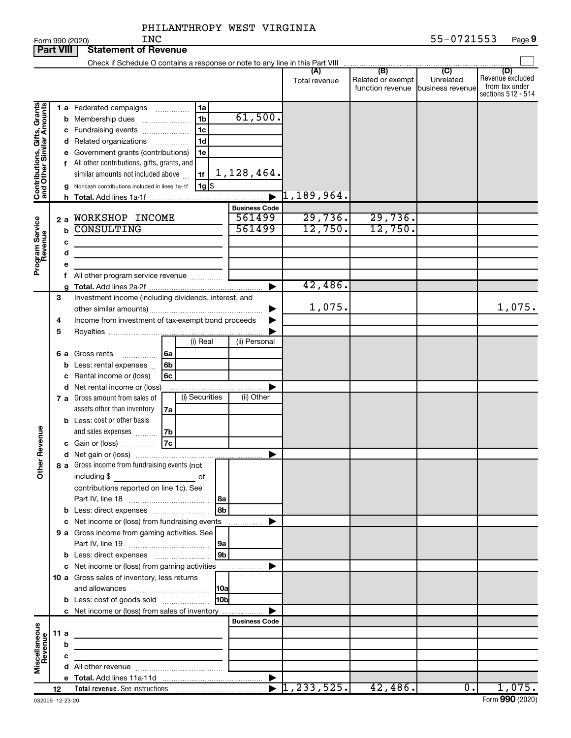| PHILANTHROPY WEST VIRGINIA |
|----------------------------|
|----------------------------|

|                                                           | <b>Part VIII</b><br><b>Statement of Revenue</b> |                                                         |                                                                                                                                                                                                                                                                                   |                       |                           |                                                               |                             |                                                                 |  |
|-----------------------------------------------------------|-------------------------------------------------|---------------------------------------------------------|-----------------------------------------------------------------------------------------------------------------------------------------------------------------------------------------------------------------------------------------------------------------------------------|-----------------------|---------------------------|---------------------------------------------------------------|-----------------------------|-----------------------------------------------------------------|--|
|                                                           |                                                 |                                                         | Check if Schedule O contains a response or note to any line in this Part VIII                                                                                                                                                                                                     |                       |                           |                                                               |                             |                                                                 |  |
|                                                           |                                                 |                                                         |                                                                                                                                                                                                                                                                                   |                       | (A)<br>Total revenue      | (B)<br>Related or exempt<br>function revenue business revenue | $\overline{C}$<br>Unrelated | (D)<br>Revenue excluded<br>from tax under<br>sections 512 - 514 |  |
| Contributions, Gifts, Grants<br>and Other Similar Amounts |                                                 | b                                                       | 1 a Federated campaigns<br>1a<br>.<br>1 <sub>b</sub><br>Membership dues<br>$\ldots \ldots \ldots \ldots \ldots$<br>1c<br>c Fundraising events<br>d Related organizations<br>1d<br>.<br>e Government grants (contributions)<br>1e<br>f All other contributions, gifts, grants, and | 61,500.               |                           |                                                               |                             |                                                                 |  |
|                                                           |                                                 |                                                         | similar amounts not included above<br>1f<br>$1g$ \$<br>Noncash contributions included in lines 1a-1f                                                                                                                                                                              | 1,128,464.            |                           |                                                               |                             |                                                                 |  |
|                                                           |                                                 | h.                                                      |                                                                                                                                                                                                                                                                                   | $\blacksquare$        | $\mathcal{a}_1$ ,189,964. |                                                               |                             |                                                                 |  |
|                                                           |                                                 |                                                         |                                                                                                                                                                                                                                                                                   | <b>Business Code</b>  |                           |                                                               |                             |                                                                 |  |
|                                                           | 2a                                              |                                                         | WORKSHOP INCOME                                                                                                                                                                                                                                                                   | 561499                | 29,736.                   | 29,736.                                                       |                             |                                                                 |  |
|                                                           |                                                 | b                                                       | <b>CONSULTING</b>                                                                                                                                                                                                                                                                 | 561499                | 12,750.                   | 12,750.                                                       |                             |                                                                 |  |
|                                                           | с                                               |                                                         |                                                                                                                                                                                                                                                                                   |                       |                           |                                                               |                             |                                                                 |  |
|                                                           |                                                 | d                                                       |                                                                                                                                                                                                                                                                                   |                       |                           |                                                               |                             |                                                                 |  |
| Program Service<br>Revenue                                | е                                               |                                                         |                                                                                                                                                                                                                                                                                   |                       |                           |                                                               |                             |                                                                 |  |
|                                                           |                                                 |                                                         | f All other program service revenue                                                                                                                                                                                                                                               |                       |                           |                                                               |                             |                                                                 |  |
|                                                           |                                                 |                                                         |                                                                                                                                                                                                                                                                                   |                       | 42,486.                   |                                                               |                             |                                                                 |  |
|                                                           | 3                                               |                                                         | Investment income (including dividends, interest, and                                                                                                                                                                                                                             |                       |                           |                                                               |                             |                                                                 |  |
|                                                           |                                                 |                                                         |                                                                                                                                                                                                                                                                                   |                       | 1,075.                    |                                                               |                             | 1,075.                                                          |  |
|                                                           |                                                 | Income from investment of tax-exempt bond proceeds<br>4 |                                                                                                                                                                                                                                                                                   |                       |                           |                                                               |                             |                                                                 |  |
|                                                           | 5                                               |                                                         | (i) Real                                                                                                                                                                                                                                                                          | (ii) Personal         |                           |                                                               |                             |                                                                 |  |
|                                                           |                                                 |                                                         |                                                                                                                                                                                                                                                                                   |                       |                           |                                                               |                             |                                                                 |  |
|                                                           |                                                 |                                                         | 6 a Gross rents<br>6a<br>Less: rental expenses<br>6b                                                                                                                                                                                                                              |                       |                           |                                                               |                             |                                                                 |  |
|                                                           |                                                 | b<br>с                                                  | 6c<br>Rental income or (loss)                                                                                                                                                                                                                                                     |                       |                           |                                                               |                             |                                                                 |  |
|                                                           |                                                 |                                                         | d Net rental income or (loss)                                                                                                                                                                                                                                                     |                       |                           |                                                               |                             |                                                                 |  |
|                                                           |                                                 |                                                         | (i) Securities<br>7 a Gross amount from sales of                                                                                                                                                                                                                                  | (ii) Other            |                           |                                                               |                             |                                                                 |  |
|                                                           |                                                 |                                                         | assets other than inventory<br>7a                                                                                                                                                                                                                                                 |                       |                           |                                                               |                             |                                                                 |  |
|                                                           |                                                 |                                                         | <b>b</b> Less: cost or other basis                                                                                                                                                                                                                                                |                       |                           |                                                               |                             |                                                                 |  |
|                                                           |                                                 |                                                         | and sales expenses<br>7b                                                                                                                                                                                                                                                          |                       |                           |                                                               |                             |                                                                 |  |
| Revenue                                                   |                                                 |                                                         | <b>7c</b><br>c Gain or (loss)                                                                                                                                                                                                                                                     |                       |                           |                                                               |                             |                                                                 |  |
|                                                           |                                                 |                                                         |                                                                                                                                                                                                                                                                                   | ▶                     |                           |                                                               |                             |                                                                 |  |
| Ĕ                                                         |                                                 |                                                         | 8 a Gross income from fundraising events (not<br>including \$<br>of                                                                                                                                                                                                               |                       |                           |                                                               |                             |                                                                 |  |
|                                                           |                                                 |                                                         | contributions reported on line 1c). See                                                                                                                                                                                                                                           |                       |                           |                                                               |                             |                                                                 |  |
|                                                           |                                                 |                                                         | 8b<br>b Less: direct expenses                                                                                                                                                                                                                                                     |                       |                           |                                                               |                             |                                                                 |  |
|                                                           |                                                 |                                                         | c Net income or (loss) from fundraising events                                                                                                                                                                                                                                    | .                     |                           |                                                               |                             |                                                                 |  |
|                                                           |                                                 |                                                         | 9 a Gross income from gaming activities. See                                                                                                                                                                                                                                      |                       |                           |                                                               |                             |                                                                 |  |
|                                                           |                                                 |                                                         |                                                                                                                                                                                                                                                                                   |                       |                           |                                                               |                             |                                                                 |  |
|                                                           |                                                 |                                                         | 9 <sub>b</sub>                                                                                                                                                                                                                                                                    |                       |                           |                                                               |                             |                                                                 |  |
|                                                           |                                                 |                                                         | c Net income or (loss) from gaming activities                                                                                                                                                                                                                                     |                       |                           |                                                               |                             |                                                                 |  |
|                                                           |                                                 |                                                         | 10 a Gross sales of inventory, less returns                                                                                                                                                                                                                                       |                       |                           |                                                               |                             |                                                                 |  |
|                                                           |                                                 |                                                         |                                                                                                                                                                                                                                                                                   |                       |                           |                                                               |                             |                                                                 |  |
|                                                           |                                                 |                                                         | 10 <sub>b</sub><br><b>b</b> Less: cost of goods sold                                                                                                                                                                                                                              |                       |                           |                                                               |                             |                                                                 |  |
|                                                           |                                                 |                                                         | c Net income or (loss) from sales of inventory                                                                                                                                                                                                                                    |                       |                           |                                                               |                             |                                                                 |  |
|                                                           |                                                 |                                                         |                                                                                                                                                                                                                                                                                   | <b>Business Code</b>  |                           |                                                               |                             |                                                                 |  |
|                                                           | 11 a                                            |                                                         | the control of the control of the control of the control of the control of                                                                                                                                                                                                        |                       |                           |                                                               |                             |                                                                 |  |
|                                                           |                                                 | b                                                       |                                                                                                                                                                                                                                                                                   |                       |                           |                                                               |                             |                                                                 |  |
| Miscellaneous<br>Revenue                                  |                                                 | с                                                       | the control of the control of the control of                                                                                                                                                                                                                                      |                       |                           |                                                               |                             |                                                                 |  |
|                                                           |                                                 |                                                         |                                                                                                                                                                                                                                                                                   |                       |                           |                                                               |                             |                                                                 |  |
|                                                           | 12                                              |                                                         |                                                                                                                                                                                                                                                                                   | $\blacktriangleright$ | 1, 233, 525.              | 42,486.                                                       | $\overline{0}$ .            | 1,075.                                                          |  |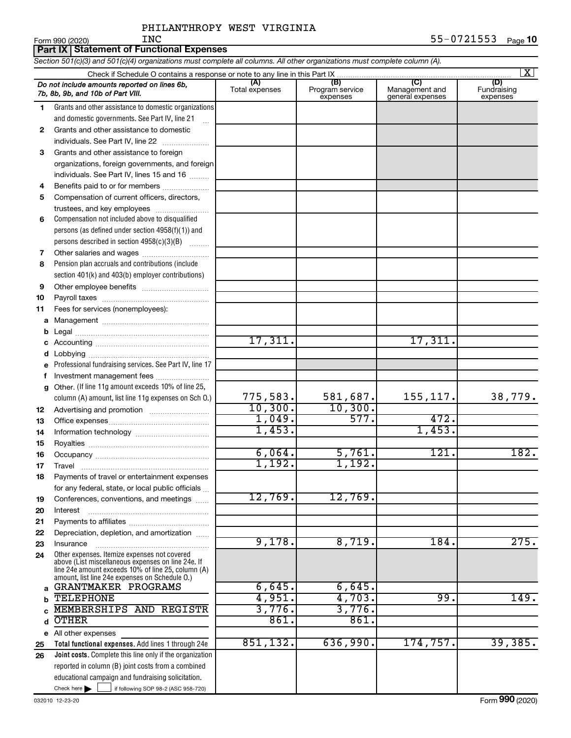Form 990 (2020) Page **10** INC 55-0721553

*Section 501(c)(3) and 501(c)(4) organizations must complete all columns. All other organizations must complete column (A).*

|    |                                                                                                          |                       |                                    |                                           | $\mathbf{X}$                   |
|----|----------------------------------------------------------------------------------------------------------|-----------------------|------------------------------------|-------------------------------------------|--------------------------------|
|    | Do not include amounts reported on lines 6b,<br>7b, 8b, 9b, and 10b of Part VIII.                        | (A)<br>Total expenses | (B)<br>Program service<br>expenses | (C)<br>Management and<br>general expenses | (D)<br>Fundraising<br>expenses |
| 1. | Grants and other assistance to domestic organizations                                                    |                       |                                    |                                           |                                |
|    | and domestic governments. See Part IV, line 21                                                           |                       |                                    |                                           |                                |
| 2  | Grants and other assistance to domestic                                                                  |                       |                                    |                                           |                                |
|    | individuals. See Part IV, line 22                                                                        |                       |                                    |                                           |                                |
| 3  | Grants and other assistance to foreign                                                                   |                       |                                    |                                           |                                |
|    | organizations, foreign governments, and foreign                                                          |                       |                                    |                                           |                                |
|    | individuals. See Part IV, lines 15 and 16                                                                |                       |                                    |                                           |                                |
| 4  | Benefits paid to or for members                                                                          |                       |                                    |                                           |                                |
| 5  | Compensation of current officers, directors,                                                             |                       |                                    |                                           |                                |
|    | trustees, and key employees                                                                              |                       |                                    |                                           |                                |
| 6  | Compensation not included above to disqualified                                                          |                       |                                    |                                           |                                |
|    | persons (as defined under section 4958(f)(1)) and                                                        |                       |                                    |                                           |                                |
|    | persons described in section 4958(c)(3)(B)                                                               |                       |                                    |                                           |                                |
| 7  |                                                                                                          |                       |                                    |                                           |                                |
| 8  | Pension plan accruals and contributions (include                                                         |                       |                                    |                                           |                                |
|    | section 401(k) and 403(b) employer contributions)                                                        |                       |                                    |                                           |                                |
| 9  |                                                                                                          |                       |                                    |                                           |                                |
| 10 |                                                                                                          |                       |                                    |                                           |                                |
| 11 | Fees for services (nonemployees):                                                                        |                       |                                    |                                           |                                |
| a  |                                                                                                          |                       |                                    |                                           |                                |
| b  |                                                                                                          |                       |                                    |                                           |                                |
| с  |                                                                                                          | 17,311.               |                                    | 17,311.                                   |                                |
| d  |                                                                                                          |                       |                                    |                                           |                                |
| е  | Professional fundraising services. See Part IV, line 17                                                  |                       |                                    |                                           |                                |
| f  | Investment management fees                                                                               |                       |                                    |                                           |                                |
| g  | Other. (If line 11g amount exceeds 10% of line 25,                                                       |                       |                                    |                                           |                                |
|    | column (A) amount, list line 11g expenses on Sch O.)                                                     | 775,583.              | 581,687.                           | 155, 117.                                 | 38,779.                        |
| 12 |                                                                                                          | 10,300.               | 10,300.                            |                                           |                                |
| 13 |                                                                                                          | 1,049.                | 577.                               | 472.                                      |                                |
| 14 |                                                                                                          | 1,453.                |                                    | 1,453.                                    |                                |
| 15 |                                                                                                          |                       |                                    |                                           |                                |
| 16 |                                                                                                          | 6,064.                | 5,761.                             | 121.                                      | 182.                           |
| 17 |                                                                                                          | 1,192.                | 1,192.                             |                                           |                                |
| 18 | Payments of travel or entertainment expenses                                                             |                       |                                    |                                           |                                |
|    | for any federal, state, or local public officials                                                        |                       |                                    |                                           |                                |
| 19 | Conferences, conventions, and meetings                                                                   | 12,769.               | 12,769.                            |                                           |                                |
| 20 | Interest                                                                                                 |                       |                                    |                                           |                                |
| 21 |                                                                                                          |                       |                                    |                                           |                                |
| 22 | Depreciation, depletion, and amortization                                                                |                       |                                    |                                           |                                |
| 23 | Insurance                                                                                                | 9,178.                | 8,719.                             | 184.                                      | 275.                           |
| 24 | Other expenses. Itemize expenses not covered                                                             |                       |                                    |                                           |                                |
|    | above (List miscellaneous expenses on line 24e. If<br>line 24e amount exceeds 10% of line 25, column (A) |                       |                                    |                                           |                                |
|    | amount, list line 24e expenses on Schedule O.)                                                           |                       |                                    |                                           |                                |
| a  | GRANTMAKER PROGRAMS                                                                                      | 6,645.                | 6,645.                             |                                           |                                |
| b  | <b>TELEPHONE</b>                                                                                         | 4,951.                | 4,703.                             | 99.                                       | 149.                           |
|    | MEMBERSHIPS AND REGISTR                                                                                  | 3,776.                | 3,776.                             |                                           |                                |
| d  | <b>OTHER</b>                                                                                             | 861.                  | 861.                               |                                           |                                |
| е  | All other expenses                                                                                       |                       |                                    |                                           |                                |
| 25 | Total functional expenses. Add lines 1 through 24e                                                       | 851, 132.             | 636,990.                           | 174,757.                                  | 39,385.                        |
| 26 | Joint costs. Complete this line only if the organization                                                 |                       |                                    |                                           |                                |
|    | reported in column (B) joint costs from a combined                                                       |                       |                                    |                                           |                                |
|    | educational campaign and fundraising solicitation.<br>Check here $\blacktriangleright$                   |                       |                                    |                                           |                                |
|    | if following SOP 98-2 (ASC 958-720)                                                                      |                       |                                    |                                           |                                |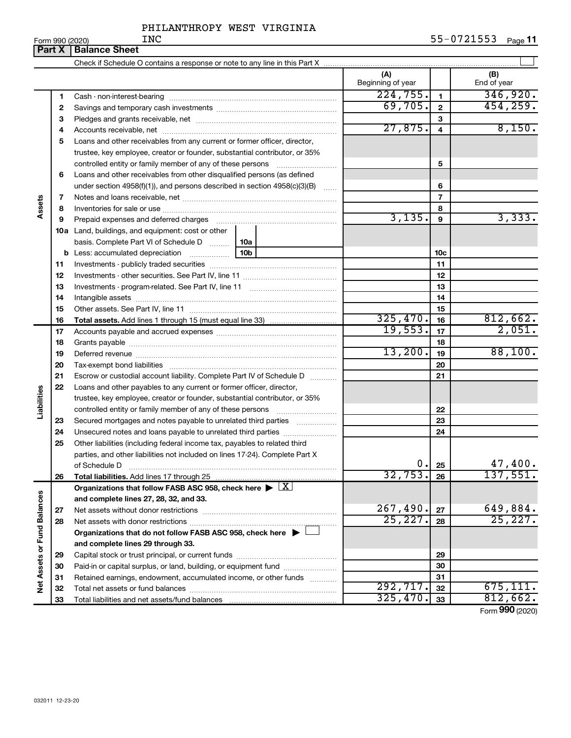|                             | Form 990 (2020) | <b>INC</b>                                                                                                                                                 |                          |                 | 55-0721553<br>Page 11       |
|-----------------------------|-----------------|------------------------------------------------------------------------------------------------------------------------------------------------------------|--------------------------|-----------------|-----------------------------|
|                             | Part X          | <b>Balance Sheet</b>                                                                                                                                       |                          |                 |                             |
|                             |                 |                                                                                                                                                            |                          |                 |                             |
|                             |                 |                                                                                                                                                            | (A)<br>Beginning of year |                 | (B)<br>End of year          |
|                             | 1               |                                                                                                                                                            | 224,755.                 | $\mathbf{1}$    | 346,920.                    |
|                             | 2               |                                                                                                                                                            | 69,705.                  | $\mathbf{2}$    | 454, 259.                   |
|                             | 3               |                                                                                                                                                            |                          | 3               |                             |
|                             | 4               |                                                                                                                                                            | 27,875.                  | $\overline{4}$  | 8,150.                      |
|                             | 5               | Loans and other receivables from any current or former officer, director,                                                                                  |                          |                 |                             |
|                             |                 | trustee, key employee, creator or founder, substantial contributor, or 35%                                                                                 |                          |                 |                             |
|                             |                 | controlled entity or family member of any of these persons                                                                                                 |                          | 5               |                             |
|                             | 6               | Loans and other receivables from other disqualified persons (as defined                                                                                    |                          |                 |                             |
|                             |                 | under section $4958(f)(1)$ , and persons described in section $4958(c)(3)(B)$<br>$\ldots$                                                                  |                          | 6               |                             |
| Assets                      | 7               |                                                                                                                                                            |                          | $\overline{7}$  |                             |
|                             | 8               |                                                                                                                                                            |                          | 8               |                             |
|                             | 9               | Prepaid expenses and deferred charges                                                                                                                      | 3,135.                   | 9               | 3,333.                      |
|                             |                 | <b>10a</b> Land, buildings, and equipment: cost or other                                                                                                   |                          |                 |                             |
|                             |                 | basis. Complete Part VI of Schedule D    10a                                                                                                               |                          |                 |                             |
|                             | b               | 10b                                                                                                                                                        |                          | 10 <sub>c</sub> |                             |
|                             | 11              |                                                                                                                                                            |                          | 11              |                             |
|                             | 12              |                                                                                                                                                            |                          | 12              |                             |
|                             | 13              |                                                                                                                                                            |                          | 13              |                             |
|                             | 14              |                                                                                                                                                            |                          | 14              |                             |
|                             | 15              |                                                                                                                                                            |                          | 15              |                             |
|                             | 16              |                                                                                                                                                            | 325,470.                 | 16              | 812,662.                    |
|                             | 17              |                                                                                                                                                            | 19,553.                  | 17              | 2,051.                      |
|                             | 18              |                                                                                                                                                            | 13,200.                  | 18              |                             |
|                             | 19              |                                                                                                                                                            |                          | 19              | 88,100.                     |
|                             | 20              |                                                                                                                                                            |                          | 20              |                             |
|                             | 21              | Escrow or custodial account liability. Complete Part IV of Schedule D                                                                                      |                          | 21              |                             |
| Liabilities                 | 22              | Loans and other payables to any current or former officer, director,                                                                                       |                          |                 |                             |
|                             |                 | trustee, key employee, creator or founder, substantial contributor, or 35%                                                                                 |                          |                 |                             |
|                             |                 | controlled entity or family member of any of these persons                                                                                                 |                          | 22              |                             |
|                             | 23              | Secured mortgages and notes payable to unrelated third parties                                                                                             |                          | 23              |                             |
|                             | 24              | Unsecured notes and loans payable to unrelated third parties                                                                                               |                          | 24              |                             |
|                             | 25              | Other liabilities (including federal income tax, payables to related third<br>parties, and other liabilities not included on lines 17-24). Complete Part X |                          |                 |                             |
|                             |                 |                                                                                                                                                            | 0.                       | 25              |                             |
|                             | 26              | of Schedule D<br>Total liabilities. Add lines 17 through 25                                                                                                | 32,753.                  | 26              | $\frac{47,400}{137,551}$    |
|                             |                 | Organizations that follow FASB ASC 958, check here $\blacktriangleright \boxed{X}$                                                                         |                          |                 |                             |
|                             |                 | and complete lines 27, 28, 32, and 33.                                                                                                                     |                          |                 |                             |
|                             | 27              |                                                                                                                                                            | 267,490.                 | 27              | 649,884.                    |
|                             | 28              |                                                                                                                                                            | 25, 227.                 | 28              | 25, 227.                    |
|                             |                 | Organizations that do not follow FASB ASC 958, check here >                                                                                                |                          |                 |                             |
|                             |                 | and complete lines 29 through 33.                                                                                                                          |                          |                 |                             |
|                             | 29              |                                                                                                                                                            |                          | 29              |                             |
|                             | 30              | Paid-in or capital surplus, or land, building, or equipment fund                                                                                           |                          | 30              |                             |
|                             | 31              | Retained earnings, endowment, accumulated income, or other funds                                                                                           |                          | 31              |                             |
| Net Assets or Fund Balances | 32              |                                                                                                                                                            | 292,717.                 | 32              | 675,111.                    |
|                             | 33              | Total liabilities and net assets/fund balances                                                                                                             | 325,470.                 | 33              | 812,662.                    |
|                             |                 |                                                                                                                                                            |                          |                 | $F_{\text{OCD}}$ 990 (2020) |

032011 12-23-20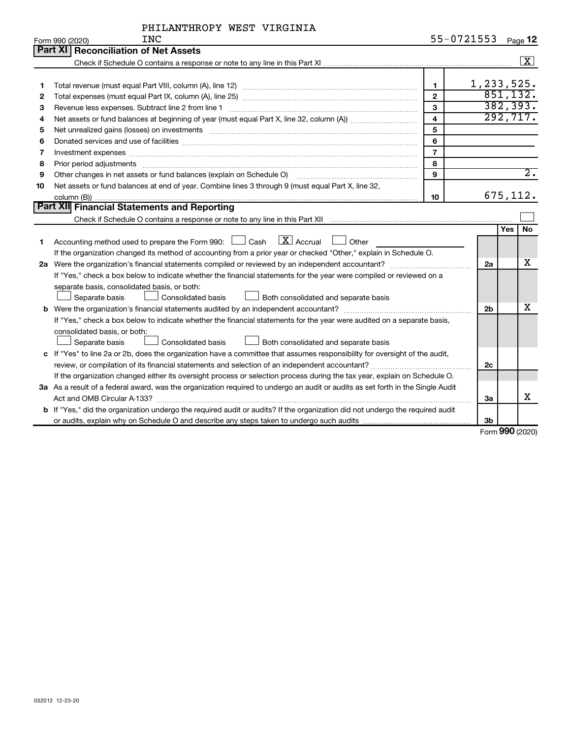|    | <b>INC</b><br>Form 990 (2020)                                                                                                   |                         | 55-0721553     | Page 12            |
|----|---------------------------------------------------------------------------------------------------------------------------------|-------------------------|----------------|--------------------|
|    | Part XI   Reconciliation of Net Assets                                                                                          |                         |                |                    |
|    |                                                                                                                                 |                         |                | $\boxed{\text{X}}$ |
|    |                                                                                                                                 |                         |                |                    |
| 1  |                                                                                                                                 | $\mathbf{1}$            |                | 1, 233, 525.       |
| 2  |                                                                                                                                 | $\overline{2}$          |                | 851,132.           |
| з  | Revenue less expenses. Subtract line 2 from line 1                                                                              | 3                       |                | 382, 393.          |
| 4  |                                                                                                                                 | $\overline{\mathbf{4}}$ |                | 292,717.           |
| 5  |                                                                                                                                 | 5                       |                |                    |
| 6  |                                                                                                                                 | 6                       |                |                    |
| 7  | Investment expenses www.communication.com/www.communication.com/www.communication.com/www.com                                   | $\overline{7}$          |                |                    |
| 8  |                                                                                                                                 | 8                       |                |                    |
| 9  | Other changes in net assets or fund balances (explain on Schedule O)                                                            | 9                       |                | $\overline{2}$ .   |
| 10 | Net assets or fund balances at end of year. Combine lines 3 through 9 (must equal Part X, line 32,                              |                         |                |                    |
|    |                                                                                                                                 | 10                      |                | 675, 112.          |
|    | <b>Part XII</b> Financial Statements and Reporting                                                                              |                         |                |                    |
|    |                                                                                                                                 |                         |                |                    |
|    |                                                                                                                                 |                         |                | <b>No</b><br>Yes   |
| 1  | $\boxed{\text{X}}$ Accrual<br>Accounting method used to prepare the Form 990: $\Box$ Cash<br>$\Box$ Other                       |                         |                |                    |
|    | If the organization changed its method of accounting from a prior year or checked "Other," explain in Schedule O.               |                         |                |                    |
|    |                                                                                                                                 |                         | 2a             | х                  |
|    | If "Yes," check a box below to indicate whether the financial statements for the year were compiled or reviewed on a            |                         |                |                    |
|    | separate basis, consolidated basis, or both:                                                                                    |                         |                |                    |
|    | Separate basis<br>Consolidated basis<br>Both consolidated and separate basis                                                    |                         |                |                    |
|    |                                                                                                                                 |                         | 2 <sub>b</sub> | х                  |
|    | If "Yes," check a box below to indicate whether the financial statements for the year were audited on a separate basis,         |                         |                |                    |
|    | consolidated basis, or both:                                                                                                    |                         |                |                    |
|    | Separate basis<br>Consolidated basis<br>Both consolidated and separate basis                                                    |                         |                |                    |
|    | c If "Yes" to line 2a or 2b, does the organization have a committee that assumes responsibility for oversight of the audit,     |                         |                |                    |
|    |                                                                                                                                 |                         | 2c             |                    |
|    | If the organization changed either its oversight process or selection process during the tax year, explain on Schedule O.       |                         |                |                    |
|    | 3a As a result of a federal award, was the organization required to undergo an audit or audits as set forth in the Single Audit |                         |                |                    |
|    |                                                                                                                                 |                         | За             | x                  |
|    | b If "Yes," did the organization undergo the required audit or audits? If the organization did not undergo the required audit   |                         |                |                    |
|    |                                                                                                                                 |                         | 3b             |                    |

Form (2020) **990**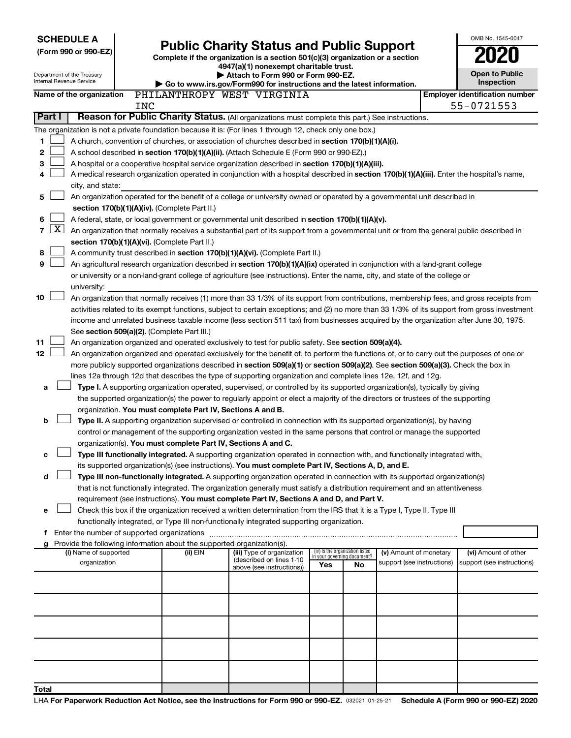Department of the Treasury

|  |  |  | (Form 990 or 990-EZ) |
|--|--|--|----------------------|
|  |  |  |                      |

# **(Form 990 or 990-EZ) Complete if the organization is a section 501(c)(3) organization or a section Public Charity Status and Public Support 2020**

**4947(a)(1) nonexempt charitable trust. | Attach to Form 990 or Form 990-EZ.** 

| O.                              |  |
|---------------------------------|--|
| <b>Open to Public</b><br>.nntin |  |

 $\Box$ 

OMB No. 1545-0047

|                          | טעט וויט טער וויט וויס וויס וויס<br>Internal Revenue Service<br>Inspection<br>Go to www.irs.gov/Form990 for instructions and the latest information. |                                                                                                                                           |            |                                                                                                                                                     |  |                            |     |                                   |                            |                                                                                                                                              |
|--------------------------|------------------------------------------------------------------------------------------------------------------------------------------------------|-------------------------------------------------------------------------------------------------------------------------------------------|------------|-----------------------------------------------------------------------------------------------------------------------------------------------------|--|----------------------------|-----|-----------------------------------|----------------------------|----------------------------------------------------------------------------------------------------------------------------------------------|
| Name of the organization |                                                                                                                                                      |                                                                                                                                           |            | PHILANTHROPY WEST VIRGINIA                                                                                                                          |  |                            |     |                                   |                            | <b>Employer identification number</b>                                                                                                        |
|                          |                                                                                                                                                      |                                                                                                                                           | <b>INC</b> |                                                                                                                                                     |  |                            |     |                                   |                            | 55-0721553                                                                                                                                   |
| <b>Part I</b>            |                                                                                                                                                      |                                                                                                                                           |            | Reason for Public Charity Status. (All organizations must complete this part.) See instructions.                                                    |  |                            |     |                                   |                            |                                                                                                                                              |
|                          |                                                                                                                                                      |                                                                                                                                           |            | The organization is not a private foundation because it is: (For lines 1 through 12, check only one box.)                                           |  |                            |     |                                   |                            |                                                                                                                                              |
| 1                        |                                                                                                                                                      |                                                                                                                                           |            | A church, convention of churches, or association of churches described in <b>section 170(b)(1)(A)(i).</b>                                           |  |                            |     |                                   |                            |                                                                                                                                              |
| 2                        |                                                                                                                                                      |                                                                                                                                           |            | A school described in section 170(b)(1)(A)(ii). (Attach Schedule E (Form 990 or 990-EZ).)                                                           |  |                            |     |                                   |                            |                                                                                                                                              |
| з                        |                                                                                                                                                      |                                                                                                                                           |            | A hospital or a cooperative hospital service organization described in section 170(b)(1)(A)(iii).                                                   |  |                            |     |                                   |                            |                                                                                                                                              |
| 4                        |                                                                                                                                                      |                                                                                                                                           |            |                                                                                                                                                     |  |                            |     |                                   |                            | A medical research organization operated in conjunction with a hospital described in section 170(b)(1)(A)(iii). Enter the hospital's name,   |
|                          |                                                                                                                                                      | city, and state:                                                                                                                          |            |                                                                                                                                                     |  |                            |     |                                   |                            |                                                                                                                                              |
| 5                        |                                                                                                                                                      |                                                                                                                                           |            | An organization operated for the benefit of a college or university owned or operated by a governmental unit described in                           |  |                            |     |                                   |                            |                                                                                                                                              |
|                          |                                                                                                                                                      |                                                                                                                                           |            | section 170(b)(1)(A)(iv). (Complete Part II.)                                                                                                       |  |                            |     |                                   |                            |                                                                                                                                              |
| 6                        |                                                                                                                                                      | A federal, state, or local government or governmental unit described in section 170(b)(1)(A)(v).                                          |            |                                                                                                                                                     |  |                            |     |                                   |                            |                                                                                                                                              |
| $\overline{7}$           | $\lfloor x \rfloor$                                                                                                                                  | An organization that normally receives a substantial part of its support from a governmental unit or from the general public described in |            |                                                                                                                                                     |  |                            |     |                                   |                            |                                                                                                                                              |
|                          |                                                                                                                                                      |                                                                                                                                           |            | section 170(b)(1)(A)(vi). (Complete Part II.)                                                                                                       |  |                            |     |                                   |                            |                                                                                                                                              |
| 8                        |                                                                                                                                                      |                                                                                                                                           |            | A community trust described in section 170(b)(1)(A)(vi). (Complete Part II.)                                                                        |  |                            |     |                                   |                            |                                                                                                                                              |
| 9                        |                                                                                                                                                      |                                                                                                                                           |            | An agricultural research organization described in section 170(b)(1)(A)(ix) operated in conjunction with a land-grant college                       |  |                            |     |                                   |                            |                                                                                                                                              |
|                          |                                                                                                                                                      |                                                                                                                                           |            | or university or a non-land-grant college of agriculture (see instructions). Enter the name, city, and state of the college or                      |  |                            |     |                                   |                            |                                                                                                                                              |
|                          |                                                                                                                                                      | university:                                                                                                                               |            |                                                                                                                                                     |  |                            |     |                                   |                            |                                                                                                                                              |
| 10                       |                                                                                                                                                      |                                                                                                                                           |            |                                                                                                                                                     |  |                            |     |                                   |                            | An organization that normally receives (1) more than 33 1/3% of its support from contributions, membership fees, and gross receipts from     |
|                          |                                                                                                                                                      |                                                                                                                                           |            |                                                                                                                                                     |  |                            |     |                                   |                            | activities related to its exempt functions, subject to certain exceptions; and (2) no more than 33 1/3% of its support from gross investment |
|                          |                                                                                                                                                      |                                                                                                                                           |            |                                                                                                                                                     |  |                            |     |                                   |                            | income and unrelated business taxable income (less section 511 tax) from businesses acquired by the organization after June 30, 1975.        |
| 11                       |                                                                                                                                                      |                                                                                                                                           |            | See section 509(a)(2). (Complete Part III.)<br>An organization organized and operated exclusively to test for public safety. See section 509(a)(4). |  |                            |     |                                   |                            |                                                                                                                                              |
| 12                       |                                                                                                                                                      |                                                                                                                                           |            |                                                                                                                                                     |  |                            |     |                                   |                            | An organization organized and operated exclusively for the benefit of, to perform the functions of, or to carry out the purposes of one or   |
|                          |                                                                                                                                                      |                                                                                                                                           |            | more publicly supported organizations described in section 509(a)(1) or section 509(a)(2). See section 509(a)(3). Check the box in                  |  |                            |     |                                   |                            |                                                                                                                                              |
|                          |                                                                                                                                                      |                                                                                                                                           |            | lines 12a through 12d that describes the type of supporting organization and complete lines 12e, 12f, and 12g.                                      |  |                            |     |                                   |                            |                                                                                                                                              |
| а                        |                                                                                                                                                      |                                                                                                                                           |            | Type I. A supporting organization operated, supervised, or controlled by its supported organization(s), typically by giving                         |  |                            |     |                                   |                            |                                                                                                                                              |
|                          |                                                                                                                                                      |                                                                                                                                           |            | the supported organization(s) the power to regularly appoint or elect a majority of the directors or trustees of the supporting                     |  |                            |     |                                   |                            |                                                                                                                                              |
|                          |                                                                                                                                                      |                                                                                                                                           |            | organization. You must complete Part IV, Sections A and B.                                                                                          |  |                            |     |                                   |                            |                                                                                                                                              |
| b                        |                                                                                                                                                      |                                                                                                                                           |            | Type II. A supporting organization supervised or controlled in connection with its supported organization(s), by having                             |  |                            |     |                                   |                            |                                                                                                                                              |
|                          |                                                                                                                                                      |                                                                                                                                           |            | control or management of the supporting organization vested in the same persons that control or manage the supported                                |  |                            |     |                                   |                            |                                                                                                                                              |
|                          |                                                                                                                                                      |                                                                                                                                           |            | organization(s). You must complete Part IV, Sections A and C.                                                                                       |  |                            |     |                                   |                            |                                                                                                                                              |
| c                        |                                                                                                                                                      |                                                                                                                                           |            | Type III functionally integrated. A supporting organization operated in connection with, and functionally integrated with,                          |  |                            |     |                                   |                            |                                                                                                                                              |
|                          |                                                                                                                                                      |                                                                                                                                           |            | its supported organization(s) (see instructions). You must complete Part IV, Sections A, D, and E.                                                  |  |                            |     |                                   |                            |                                                                                                                                              |
| d                        |                                                                                                                                                      |                                                                                                                                           |            | Type III non-functionally integrated. A supporting organization operated in connection with its supported organization(s)                           |  |                            |     |                                   |                            |                                                                                                                                              |
|                          |                                                                                                                                                      |                                                                                                                                           |            | that is not functionally integrated. The organization generally must satisfy a distribution requirement and an attentiveness                        |  |                            |     |                                   |                            |                                                                                                                                              |
|                          |                                                                                                                                                      |                                                                                                                                           |            | requirement (see instructions). You must complete Part IV, Sections A and D, and Part V.                                                            |  |                            |     |                                   |                            |                                                                                                                                              |
| e                        |                                                                                                                                                      |                                                                                                                                           |            | Check this box if the organization received a written determination from the IRS that it is a Type I, Type II, Type III                             |  |                            |     |                                   |                            |                                                                                                                                              |
|                          |                                                                                                                                                      |                                                                                                                                           |            | functionally integrated, or Type III non-functionally integrated supporting organization.                                                           |  |                            |     |                                   |                            |                                                                                                                                              |
|                          |                                                                                                                                                      |                                                                                                                                           |            |                                                                                                                                                     |  |                            |     |                                   |                            |                                                                                                                                              |
| g                        |                                                                                                                                                      | (i) Name of supported                                                                                                                     |            | Provide the following information about the supported organization(s).<br>(ii) EIN                                                                  |  | (iii) Type of organization |     | (iv) Is the organization listed   | (v) Amount of monetary     | (vi) Amount of other                                                                                                                         |
|                          |                                                                                                                                                      | organization                                                                                                                              |            |                                                                                                                                                     |  | (described on lines 1-10   | Yes | in your governing document?<br>No | support (see instructions) | support (see instructions)                                                                                                                   |
|                          |                                                                                                                                                      |                                                                                                                                           |            |                                                                                                                                                     |  | above (see instructions))  |     |                                   |                            |                                                                                                                                              |
|                          |                                                                                                                                                      |                                                                                                                                           |            |                                                                                                                                                     |  |                            |     |                                   |                            |                                                                                                                                              |
|                          |                                                                                                                                                      |                                                                                                                                           |            |                                                                                                                                                     |  |                            |     |                                   |                            |                                                                                                                                              |
|                          |                                                                                                                                                      |                                                                                                                                           |            |                                                                                                                                                     |  |                            |     |                                   |                            |                                                                                                                                              |
|                          |                                                                                                                                                      |                                                                                                                                           |            |                                                                                                                                                     |  |                            |     |                                   |                            |                                                                                                                                              |
|                          |                                                                                                                                                      |                                                                                                                                           |            |                                                                                                                                                     |  |                            |     |                                   |                            |                                                                                                                                              |
|                          |                                                                                                                                                      |                                                                                                                                           |            |                                                                                                                                                     |  |                            |     |                                   |                            |                                                                                                                                              |
|                          |                                                                                                                                                      |                                                                                                                                           |            |                                                                                                                                                     |  |                            |     |                                   |                            |                                                                                                                                              |
|                          |                                                                                                                                                      |                                                                                                                                           |            |                                                                                                                                                     |  |                            |     |                                   |                            |                                                                                                                                              |
|                          |                                                                                                                                                      |                                                                                                                                           |            |                                                                                                                                                     |  |                            |     |                                   |                            |                                                                                                                                              |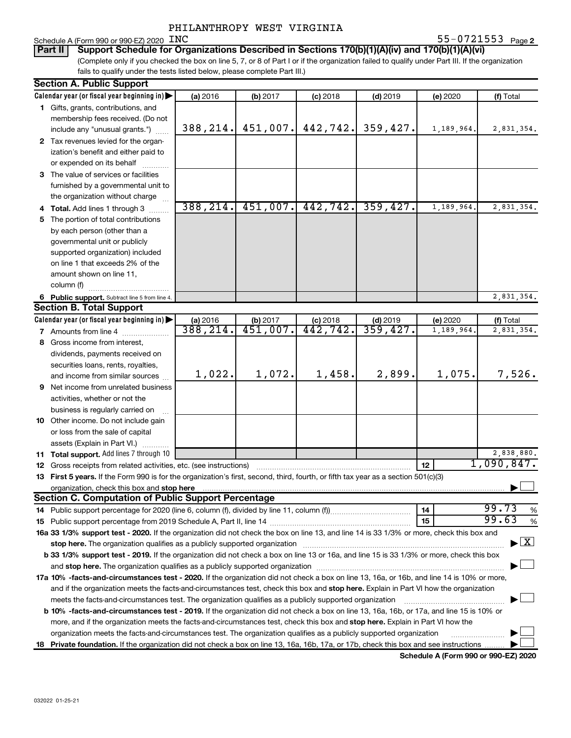#### Schedule A (Form 990 or 990-EZ) 2020 INC

**2** INC 55-0721553  $_{\text{Page 2}}$ 

(Complete only if you checked the box on line 5, 7, or 8 of Part I or if the organization failed to qualify under Part III. If the organization fails to qualify under the tests listed below, please complete Part III.) **Part II** | Support Schedule for Organizations Described in Sections 170(b)(1)(A)(iv) and 170(b)(1)(A)(vi)

| <b>Section A. Public Support</b>                                                                                                                                                                                                    |                       |                                    |                        |                        |            |                                    |
|-------------------------------------------------------------------------------------------------------------------------------------------------------------------------------------------------------------------------------------|-----------------------|------------------------------------|------------------------|------------------------|------------|------------------------------------|
| Calendar year (or fiscal year beginning in)                                                                                                                                                                                         | (a) 2016              | (b) 2017                           | $(c)$ 2018             | $(d)$ 2019             | (e) 2020   | (f) Total                          |
| 1 Gifts, grants, contributions, and                                                                                                                                                                                                 |                       |                                    |                        |                        |            |                                    |
| membership fees received. (Do not                                                                                                                                                                                                   |                       |                                    |                        |                        |            |                                    |
| include any "unusual grants.")                                                                                                                                                                                                      | 388, 214.             | 451,007.                           | 442,742.               | 359,427.               | 1,189,964. | 2,831,354.                         |
| 2 Tax revenues levied for the organ-                                                                                                                                                                                                |                       |                                    |                        |                        |            |                                    |
| ization's benefit and either paid to                                                                                                                                                                                                |                       |                                    |                        |                        |            |                                    |
| or expended on its behalf                                                                                                                                                                                                           |                       |                                    |                        |                        |            |                                    |
| 3 The value of services or facilities                                                                                                                                                                                               |                       |                                    |                        |                        |            |                                    |
| furnished by a governmental unit to                                                                                                                                                                                                 |                       |                                    |                        |                        |            |                                    |
| the organization without charge                                                                                                                                                                                                     |                       |                                    |                        |                        |            |                                    |
| 4 Total. Add lines 1 through 3                                                                                                                                                                                                      | 388, 214.             | 451,007.                           | 442,742.               | 359,427.               | 1,189,964. | 2,831,354.                         |
| 5 The portion of total contributions                                                                                                                                                                                                |                       |                                    |                        |                        |            |                                    |
| by each person (other than a                                                                                                                                                                                                        |                       |                                    |                        |                        |            |                                    |
| governmental unit or publicly                                                                                                                                                                                                       |                       |                                    |                        |                        |            |                                    |
| supported organization) included                                                                                                                                                                                                    |                       |                                    |                        |                        |            |                                    |
| on line 1 that exceeds 2% of the                                                                                                                                                                                                    |                       |                                    |                        |                        |            |                                    |
| amount shown on line 11,                                                                                                                                                                                                            |                       |                                    |                        |                        |            |                                    |
| column (f)                                                                                                                                                                                                                          |                       |                                    |                        |                        |            |                                    |
|                                                                                                                                                                                                                                     |                       |                                    |                        |                        |            |                                    |
| 6 Public support. Subtract line 5 from line 4.<br><b>Section B. Total Support</b>                                                                                                                                                   |                       |                                    |                        |                        |            | 2,831,354.                         |
|                                                                                                                                                                                                                                     |                       |                                    |                        |                        |            |                                    |
| Calendar year (or fiscal year beginning in)                                                                                                                                                                                         | (a) 2016<br>388, 214. | (b) 2017<br>$\overline{451,007}$ . | $(c)$ 2018<br>442,742. | $(d)$ 2019<br>359,427. | (e) 2020   | (f) Total                          |
| 7 Amounts from line 4                                                                                                                                                                                                               |                       |                                    |                        |                        | 1,189,964  | 2,831,354.                         |
| 8 Gross income from interest,                                                                                                                                                                                                       |                       |                                    |                        |                        |            |                                    |
| dividends, payments received on                                                                                                                                                                                                     |                       |                                    |                        |                        |            |                                    |
| securities loans, rents, royalties,                                                                                                                                                                                                 |                       |                                    |                        |                        |            |                                    |
| and income from similar sources                                                                                                                                                                                                     | 1,022.                | 1,072.                             | 1,458.                 | 2,899.                 | 1,075.     | 7,526.                             |
| <b>9</b> Net income from unrelated business                                                                                                                                                                                         |                       |                                    |                        |                        |            |                                    |
| activities, whether or not the                                                                                                                                                                                                      |                       |                                    |                        |                        |            |                                    |
| business is regularly carried on                                                                                                                                                                                                    |                       |                                    |                        |                        |            |                                    |
| 10 Other income. Do not include gain                                                                                                                                                                                                |                       |                                    |                        |                        |            |                                    |
| or loss from the sale of capital                                                                                                                                                                                                    |                       |                                    |                        |                        |            |                                    |
| assets (Explain in Part VI.)                                                                                                                                                                                                        |                       |                                    |                        |                        |            |                                    |
| 11 Total support. Add lines 7 through 10                                                                                                                                                                                            |                       |                                    |                        |                        |            | 2,838,880.                         |
| <b>12</b> Gross receipts from related activities, etc. (see instructions)                                                                                                                                                           |                       |                                    |                        |                        | 12         | 1,090,847.                         |
| 13 First 5 years. If the Form 990 is for the organization's first, second, third, fourth, or fifth tax year as a section 501(c)(3)                                                                                                  |                       |                                    |                        |                        |            |                                    |
| organization, check this box and stop here <b>construction and construction</b> construction of the state of the state of the state of the state of the state of the state of the state of the state of the state of the state of t |                       |                                    |                        |                        |            |                                    |
| <b>Section C. Computation of Public Support Percentage</b>                                                                                                                                                                          |                       |                                    |                        |                        |            |                                    |
|                                                                                                                                                                                                                                     |                       |                                    |                        |                        | 14         | 99.73<br>%                         |
|                                                                                                                                                                                                                                     |                       |                                    |                        |                        | 15         | 99.63<br>%                         |
| 16a 33 1/3% support test - 2020. If the organization did not check the box on line 13, and line 14 is 33 1/3% or more, check this box and                                                                                           |                       |                                    |                        |                        |            |                                    |
| stop here. The organization qualifies as a publicly supported organization manufactured content and the organization manufactured and the state of the state of the state of the state of the state of the state of the state       |                       |                                    |                        |                        |            | $\blacktriangleright$ $\mathbf{X}$ |
| b 33 1/3% support test - 2019. If the organization did not check a box on line 13 or 16a, and line 15 is 33 1/3% or more, check this box                                                                                            |                       |                                    |                        |                        |            |                                    |
|                                                                                                                                                                                                                                     |                       |                                    |                        |                        |            |                                    |
| 17a 10% -facts-and-circumstances test - 2020. If the organization did not check a box on line 13, 16a, or 16b, and line 14 is 10% or more,                                                                                          |                       |                                    |                        |                        |            |                                    |
| and if the organization meets the facts-and-circumstances test, check this box and stop here. Explain in Part VI how the organization                                                                                               |                       |                                    |                        |                        |            |                                    |
| meets the facts-and-circumstances test. The organization qualifies as a publicly supported organization                                                                                                                             |                       |                                    |                        |                        |            |                                    |
| <b>b 10%</b> -facts-and-circumstances test - 2019. If the organization did not check a box on line 13, 16a, 16b, or 17a, and line 15 is 10% or                                                                                      |                       |                                    |                        |                        |            |                                    |
| more, and if the organization meets the facts-and-circumstances test, check this box and stop here. Explain in Part VI how the                                                                                                      |                       |                                    |                        |                        |            |                                    |
| organization meets the facts-and-circumstances test. The organization qualifies as a publicly supported organization                                                                                                                |                       |                                    |                        |                        |            |                                    |
| 18 Private foundation. If the organization did not check a box on line 13, 16a, 16b, 17a, or 17b, check this box and see instructions                                                                                               |                       |                                    |                        |                        |            |                                    |
|                                                                                                                                                                                                                                     |                       |                                    |                        |                        |            |                                    |

**Schedule A (Form 990 or 990-EZ) 2020**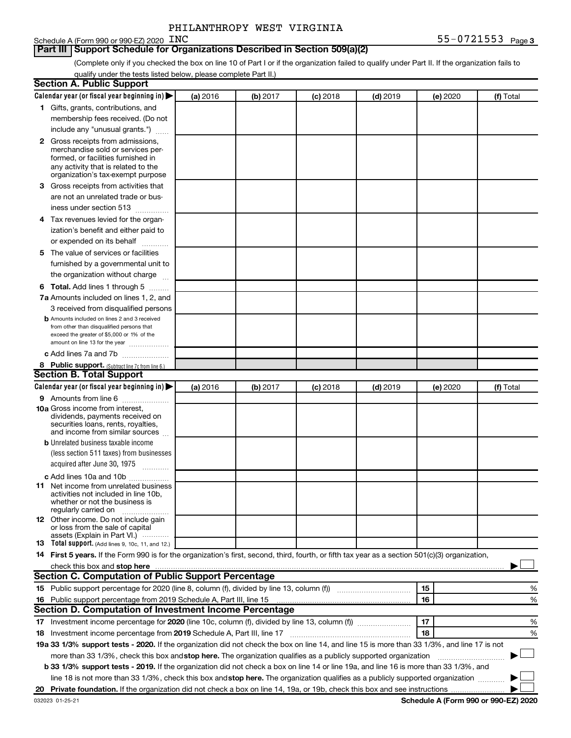### **Part III | Support Schedule for Organizations Described in Section 509(a)(2)**

(Complete only if you checked the box on line 10 of Part I or if the organization failed to qualify under Part II. If the organization fails to qualify under the tests listed below, please complete Part II.)

| <b>Section A. Public Support</b>                                                                                                                 |          |          |          |            |          |           |   |
|--------------------------------------------------------------------------------------------------------------------------------------------------|----------|----------|----------|------------|----------|-----------|---|
| Calendar year (or fiscal year beginning in) $\blacktriangleright$                                                                                | (a) 2016 | (b) 2017 | (c) 2018 | $(d)$ 2019 | (e) 2020 | (f) Total |   |
| 1 Gifts, grants, contributions, and                                                                                                              |          |          |          |            |          |           |   |
| membership fees received. (Do not                                                                                                                |          |          |          |            |          |           |   |
| include any "unusual grants.")                                                                                                                   |          |          |          |            |          |           |   |
| <b>2</b> Gross receipts from admissions,                                                                                                         |          |          |          |            |          |           |   |
| merchandise sold or services per-                                                                                                                |          |          |          |            |          |           |   |
| formed, or facilities furnished in                                                                                                               |          |          |          |            |          |           |   |
| any activity that is related to the<br>organization's tax-exempt purpose                                                                         |          |          |          |            |          |           |   |
| 3 Gross receipts from activities that                                                                                                            |          |          |          |            |          |           |   |
| are not an unrelated trade or bus-                                                                                                               |          |          |          |            |          |           |   |
|                                                                                                                                                  |          |          |          |            |          |           |   |
| iness under section 513                                                                                                                          |          |          |          |            |          |           |   |
| 4 Tax revenues levied for the organ-                                                                                                             |          |          |          |            |          |           |   |
| ization's benefit and either paid to                                                                                                             |          |          |          |            |          |           |   |
| or expended on its behalf<br>a a bhuiltean                                                                                                       |          |          |          |            |          |           |   |
| 5 The value of services or facilities                                                                                                            |          |          |          |            |          |           |   |
| furnished by a governmental unit to                                                                                                              |          |          |          |            |          |           |   |
| the organization without charge                                                                                                                  |          |          |          |            |          |           |   |
| <b>6 Total.</b> Add lines 1 through 5                                                                                                            |          |          |          |            |          |           |   |
| 7a Amounts included on lines 1, 2, and                                                                                                           |          |          |          |            |          |           |   |
| 3 received from disqualified persons                                                                                                             |          |          |          |            |          |           |   |
| <b>b</b> Amounts included on lines 2 and 3 received                                                                                              |          |          |          |            |          |           |   |
| from other than disqualified persons that<br>exceed the greater of \$5,000 or 1% of the                                                          |          |          |          |            |          |           |   |
| amount on line 13 for the year                                                                                                                   |          |          |          |            |          |           |   |
| c Add lines 7a and 7b                                                                                                                            |          |          |          |            |          |           |   |
| 8 Public support. (Subtract line 7c from line 6.)                                                                                                |          |          |          |            |          |           |   |
| <b>Section B. Total Support</b>                                                                                                                  |          |          |          |            |          |           |   |
| Calendar year (or fiscal year beginning in) $\blacktriangleright$                                                                                | (a) 2016 | (b) 2017 | (c) 2018 | $(d)$ 2019 | (e) 2020 | (f) Total |   |
| <b>9</b> Amounts from line 6                                                                                                                     |          |          |          |            |          |           |   |
| <b>10a</b> Gross income from interest,                                                                                                           |          |          |          |            |          |           |   |
| dividends, payments received on                                                                                                                  |          |          |          |            |          |           |   |
| securities loans, rents, royalties,<br>and income from similar sources                                                                           |          |          |          |            |          |           |   |
| <b>b</b> Unrelated business taxable income                                                                                                       |          |          |          |            |          |           |   |
| (less section 511 taxes) from businesses                                                                                                         |          |          |          |            |          |           |   |
| acquired after June 30, 1975                                                                                                                     |          |          |          |            |          |           |   |
| c Add lines 10a and 10b                                                                                                                          |          |          |          |            |          |           |   |
| <b>11</b> Net income from unrelated business                                                                                                     |          |          |          |            |          |           |   |
| activities not included in line 10b.                                                                                                             |          |          |          |            |          |           |   |
| whether or not the business is                                                                                                                   |          |          |          |            |          |           |   |
| regularly carried on<br>12 Other income. Do not include gain                                                                                     |          |          |          |            |          |           |   |
| or loss from the sale of capital                                                                                                                 |          |          |          |            |          |           |   |
| assets (Explain in Part VI.) $\cdots$                                                                                                            |          |          |          |            |          |           |   |
| <b>13</b> Total support. (Add lines 9, 10c, 11, and 12.)                                                                                         |          |          |          |            |          |           |   |
| 14 First 5 years. If the Form 990 is for the organization's first, second, third, fourth, or fifth tax year as a section 501(c)(3) organization, |          |          |          |            |          |           |   |
|                                                                                                                                                  |          |          |          |            |          |           |   |
| Section C. Computation of Public Support Percentage                                                                                              |          |          |          |            |          |           |   |
|                                                                                                                                                  |          |          |          |            | 15       |           | % |
| 16 Public support percentage from 2019 Schedule A, Part III, line 15                                                                             |          |          |          |            | 16       |           | % |
| Section D. Computation of Investment Income Percentage                                                                                           |          |          |          |            |          |           |   |
| 17 Investment income percentage for 2020 (line 10c, column (f), divided by line 13, column (f))                                                  |          |          |          |            | 17       |           | % |
| 18 Investment income percentage from 2019 Schedule A, Part III, line 17                                                                          |          |          |          |            | 18       |           | % |
| 19a 33 1/3% support tests - 2020. If the organization did not check the box on line 14, and line 15 is more than 33 1/3%, and line 17 is not     |          |          |          |            |          |           |   |
| more than 33 1/3%, check this box and stop here. The organization qualifies as a publicly supported organization                                 |          |          |          |            |          |           |   |
| b 33 1/3% support tests - 2019. If the organization did not check a box on line 14 or line 19a, and line 16 is more than 33 1/3%, and            |          |          |          |            |          |           |   |
| line 18 is not more than 33 1/3%, check this box and stop here. The organization qualifies as a publicly supported organization                  |          |          |          |            |          |           |   |
|                                                                                                                                                  |          |          |          |            |          |           |   |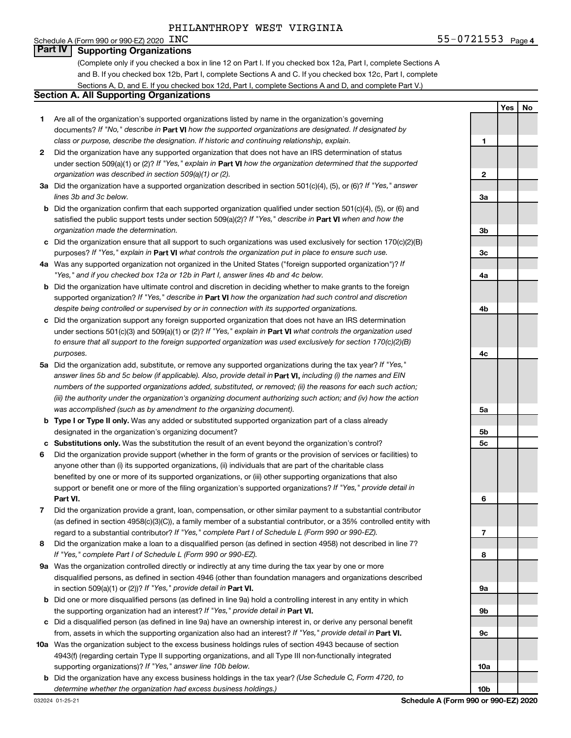Schedule A (Form 990 or 990-EZ) 2020  $\overline{INC}$ 

(Complete only if you checked a box in line 12 on Part I. If you checked box 12a, Part I, complete Sections A and B. If you checked box 12b, Part I, complete Sections A and C. If you checked box 12c, Part I, complete Sections A, D, and E. If you checked box 12d, Part I, complete Sections A and D, and complete Part V.)

#### **Section A. All Supporting Organizations**

- **1** Are all of the organization's supported organizations listed by name in the organization's governing documents? If "No," describe in Part VI how the supported organizations are designated. If designated by *class or purpose, describe the designation. If historic and continuing relationship, explain.*
- **2** Did the organization have any supported organization that does not have an IRS determination of status under section 509(a)(1) or (2)? If "Yes," explain in Part **VI** how the organization determined that the supported *organization was described in section 509(a)(1) or (2).*
- **3a** Did the organization have a supported organization described in section 501(c)(4), (5), or (6)? If "Yes," answer *lines 3b and 3c below.*
- **b** Did the organization confirm that each supported organization qualified under section 501(c)(4), (5), or (6) and satisfied the public support tests under section 509(a)(2)? If "Yes," describe in Part VI when and how the *organization made the determination.*
- **c** Did the organization ensure that all support to such organizations was used exclusively for section 170(c)(2)(B) purposes? If "Yes," explain in Part VI what controls the organization put in place to ensure such use.
- **4 a** *If* Was any supported organization not organized in the United States ("foreign supported organization")? *"Yes," and if you checked box 12a or 12b in Part I, answer lines 4b and 4c below.*
- **b** Did the organization have ultimate control and discretion in deciding whether to make grants to the foreign supported organization? If "Yes," describe in Part VI how the organization had such control and discretion *despite being controlled or supervised by or in connection with its supported organizations.*
- **c** Did the organization support any foreign supported organization that does not have an IRS determination under sections 501(c)(3) and 509(a)(1) or (2)? If "Yes," explain in Part VI what controls the organization used *to ensure that all support to the foreign supported organization was used exclusively for section 170(c)(2)(B) purposes.*
- **5a** Did the organization add, substitute, or remove any supported organizations during the tax year? If "Yes," answer lines 5b and 5c below (if applicable). Also, provide detail in **Part VI,** including (i) the names and EIN *numbers of the supported organizations added, substituted, or removed; (ii) the reasons for each such action; (iii) the authority under the organization's organizing document authorizing such action; and (iv) how the action was accomplished (such as by amendment to the organizing document).*
- **b Type I or Type II only.** Was any added or substituted supported organization part of a class already designated in the organization's organizing document?
- **c Substitutions only.**  Was the substitution the result of an event beyond the organization's control?
- **6** Did the organization provide support (whether in the form of grants or the provision of services or facilities) to **Part VI.** support or benefit one or more of the filing organization's supported organizations? If "Yes," provide detail in anyone other than (i) its supported organizations, (ii) individuals that are part of the charitable class benefited by one or more of its supported organizations, or (iii) other supporting organizations that also
- **7** Did the organization provide a grant, loan, compensation, or other similar payment to a substantial contributor regard to a substantial contributor? If "Yes," complete Part I of Schedule L (Form 990 or 990-EZ). (as defined in section 4958(c)(3)(C)), a family member of a substantial contributor, or a 35% controlled entity with
- **8** Did the organization make a loan to a disqualified person (as defined in section 4958) not described in line 7? *If "Yes," complete Part I of Schedule L (Form 990 or 990-EZ).*
- **9 a** Was the organization controlled directly or indirectly at any time during the tax year by one or more in section 509(a)(1) or (2))? If "Yes," provide detail in **Part VI.** disqualified persons, as defined in section 4946 (other than foundation managers and organizations described
- **b** Did one or more disqualified persons (as defined in line 9a) hold a controlling interest in any entity in which the supporting organization had an interest? If "Yes," provide detail in Part VI.
- **c** Did a disqualified person (as defined in line 9a) have an ownership interest in, or derive any personal benefit from, assets in which the supporting organization also had an interest? If "Yes," provide detail in Part VI.
- **10 a** Was the organization subject to the excess business holdings rules of section 4943 because of section supporting organizations)? If "Yes," answer line 10b below. 4943(f) (regarding certain Type II supporting organizations, and all Type III non-functionally integrated
	- **b** Did the organization have any excess business holdings in the tax year? (Use Schedule C, Form 4720, to *determine whether the organization had excess business holdings.)*

**Yes No 1 2 3a 3b 3c 4a 4b 4c 5a 5b 5c 6 7 8 9a 9b 9c 10a 10b**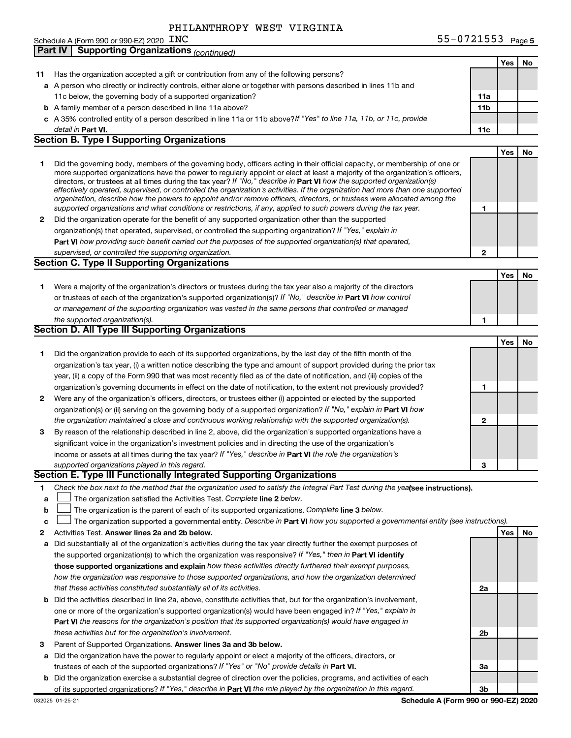#### Schedule A (Form 990 or 990-EZ) 2020 INC PHILANTHROPY WEST VIRGINIA

| INC | 55-0721553 $Page 5$ |  |
|-----|---------------------|--|
|-----|---------------------|--|

|    | <b>Supporting Organizations (continued)</b><br>Part IV                                                                                                                                                                                                     |                 |     |    |
|----|------------------------------------------------------------------------------------------------------------------------------------------------------------------------------------------------------------------------------------------------------------|-----------------|-----|----|
|    |                                                                                                                                                                                                                                                            |                 | Yes | No |
| 11 | Has the organization accepted a gift or contribution from any of the following persons?                                                                                                                                                                    |                 |     |    |
|    | a A person who directly or indirectly controls, either alone or together with persons described in lines 11b and                                                                                                                                           |                 |     |    |
|    | 11c below, the governing body of a supported organization?                                                                                                                                                                                                 | 11a             |     |    |
|    | <b>b</b> A family member of a person described in line 11a above?                                                                                                                                                                                          | 11 <sub>b</sub> |     |    |
|    | c A 35% controlled entity of a person described in line 11a or 11b above?If "Yes" to line 11a, 11b, or 11c, provide                                                                                                                                        |                 |     |    |
|    | detail in Part VI.                                                                                                                                                                                                                                         | 11c             |     |    |
|    | <b>Section B. Type I Supporting Organizations</b>                                                                                                                                                                                                          |                 |     |    |
|    |                                                                                                                                                                                                                                                            |                 | Yes | No |
| 1  | Did the governing body, members of the governing body, officers acting in their official capacity, or membership of one or                                                                                                                                 |                 |     |    |
|    | more supported organizations have the power to regularly appoint or elect at least a majority of the organization's officers,                                                                                                                              |                 |     |    |
|    | directors, or trustees at all times during the tax year? If "No," describe in Part VI how the supported organization(s)                                                                                                                                    |                 |     |    |
|    | effectively operated, supervised, or controlled the organization's activities. If the organization had more than one supported<br>organization, describe how the powers to appoint and/or remove officers, directors, or trustees were allocated among the |                 |     |    |
|    | supported organizations and what conditions or restrictions, if any, applied to such powers during the tax year.                                                                                                                                           | 1               |     |    |
| 2  | Did the organization operate for the benefit of any supported organization other than the supported                                                                                                                                                        |                 |     |    |
|    | organization(s) that operated, supervised, or controlled the supporting organization? If "Yes," explain in                                                                                                                                                 |                 |     |    |
|    | Part VI how providing such benefit carried out the purposes of the supported organization(s) that operated,                                                                                                                                                |                 |     |    |
|    | supervised, or controlled the supporting organization.                                                                                                                                                                                                     | $\mathbf{2}$    |     |    |
|    | <b>Section C. Type II Supporting Organizations</b>                                                                                                                                                                                                         |                 |     |    |
|    |                                                                                                                                                                                                                                                            |                 | Yes | No |
| 1. | Were a majority of the organization's directors or trustees during the tax year also a majority of the directors                                                                                                                                           |                 |     |    |
|    | or trustees of each of the organization's supported organization(s)? If "No," describe in Part VI how control                                                                                                                                              |                 |     |    |
|    | or management of the supporting organization was vested in the same persons that controlled or managed                                                                                                                                                     |                 |     |    |
|    | the supported organization(s).                                                                                                                                                                                                                             | 1               |     |    |
|    | <b>Section D. All Type III Supporting Organizations</b>                                                                                                                                                                                                    |                 |     |    |
|    |                                                                                                                                                                                                                                                            |                 | Yes | No |
| 1  | Did the organization provide to each of its supported organizations, by the last day of the fifth month of the                                                                                                                                             |                 |     |    |
|    | organization's tax year, (i) a written notice describing the type and amount of support provided during the prior tax                                                                                                                                      |                 |     |    |
|    | year, (ii) a copy of the Form 990 that was most recently filed as of the date of notification, and (iii) copies of the                                                                                                                                     |                 |     |    |
|    | organization's governing documents in effect on the date of notification, to the extent not previously provided?                                                                                                                                           | 1               |     |    |
| 2  | Were any of the organization's officers, directors, or trustees either (i) appointed or elected by the supported                                                                                                                                           |                 |     |    |
|    | organization(s) or (ii) serving on the governing body of a supported organization? If "No," explain in Part VI how                                                                                                                                         |                 |     |    |
|    | the organization maintained a close and continuous working relationship with the supported organization(s).                                                                                                                                                | 2               |     |    |
| 3  | By reason of the relationship described in line 2, above, did the organization's supported organizations have a                                                                                                                                            |                 |     |    |
|    | significant voice in the organization's investment policies and in directing the use of the organization's                                                                                                                                                 |                 |     |    |
|    | income or assets at all times during the tax year? If "Yes," describe in Part VI the role the organization's                                                                                                                                               |                 |     |    |
|    | supported organizations played in this regard.                                                                                                                                                                                                             | з               |     |    |
|    | Section E. Type III Functionally Integrated Supporting Organizations                                                                                                                                                                                       |                 |     |    |
| 1  | Check the box next to the method that the organization used to satisfy the Integral Part Test during the yealsee instructions).                                                                                                                            |                 |     |    |
| а  | The organization satisfied the Activities Test. Complete line 2 below.                                                                                                                                                                                     |                 |     |    |
| b  | The organization is the parent of each of its supported organizations. Complete line 3 below.                                                                                                                                                              |                 |     |    |
| c  | The organization supported a governmental entity. Describe in Part VI how you supported a governmental entity (see instructions).                                                                                                                          |                 |     |    |
| 2  | Activities Test. Answer lines 2a and 2b below.                                                                                                                                                                                                             |                 | Yes | No |
| а  | Did substantially all of the organization's activities during the tax year directly further the exempt purposes of                                                                                                                                         |                 |     |    |
|    | the supported organization(s) to which the organization was responsive? If "Yes," then in Part VI identify                                                                                                                                                 |                 |     |    |
|    | those supported organizations and explain how these activities directly furthered their exempt purposes,                                                                                                                                                   |                 |     |    |
|    | how the organization was responsive to those supported organizations, and how the organization determined                                                                                                                                                  |                 |     |    |
|    | that these activities constituted substantially all of its activities.                                                                                                                                                                                     | 2a              |     |    |
| b  | Did the activities described in line 2a, above, constitute activities that, but for the organization's involvement,                                                                                                                                        |                 |     |    |
|    | one or more of the organization's supported organization(s) would have been engaged in? If "Yes," explain in                                                                                                                                               |                 |     |    |
|    | Part VI the reasons for the organization's position that its supported organization(s) would have engaged in                                                                                                                                               |                 |     |    |
|    | these activities but for the organization's involvement.                                                                                                                                                                                                   | 2b              |     |    |
| З  | Parent of Supported Organizations. Answer lines 3a and 3b below.                                                                                                                                                                                           |                 |     |    |
| а  | Did the organization have the power to regularly appoint or elect a majority of the officers, directors, or                                                                                                                                                |                 |     |    |
|    | trustees of each of the supported organizations? If "Yes" or "No" provide details in Part VI.                                                                                                                                                              | За              |     |    |
| b  | Did the organization exercise a substantial degree of direction over the policies, programs, and activities of each                                                                                                                                        |                 |     |    |
|    | of its supported organizations? If "Yes," describe in Part VI the role played by the organization in this regard.                                                                                                                                          | 3b              |     |    |

**Schedule A (Form 990 or 990-EZ) 2020**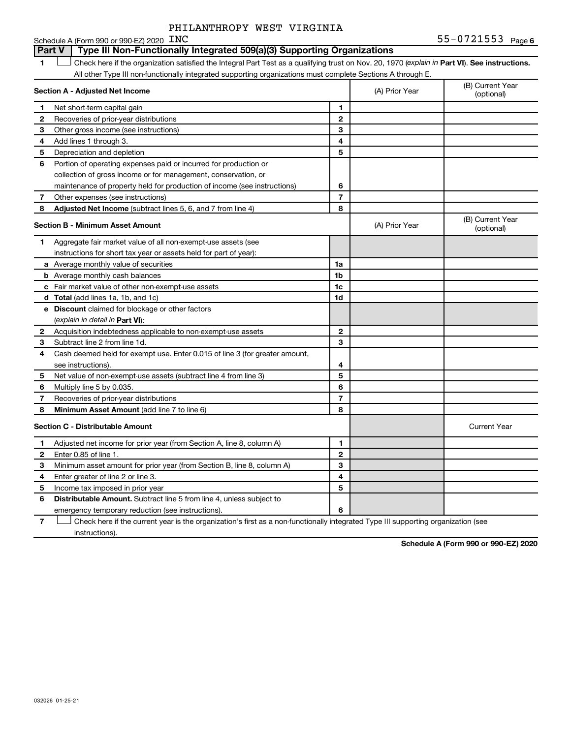#### 1 **Luding Check here if the organization satisfied the Integral Part Test as a qualifying trust on Nov. 20, 1970 (explain in Part <b>VI**). See instructions. **Section A - Adjusted Net Income 1 2 3 4 5 6 7 8 1 2 3 4 5 6 7 Adjusted Net Income** (subtract lines 5, 6, and 7 from line 4) **8 8 Section B - Minimum Asset Amount 1 2 3 4 5 6 7 8 a** Average monthly value of securities **b** Average monthly cash balances **c** Fair market value of other non-exempt-use assets **d Total**  (add lines 1a, 1b, and 1c) **e Discount** claimed for blockage or other factors **1a 1b 1c 1d 2 3 4 5 6 7 8** (explain in detail in Part VI): **Minimum Asset Amount**  (add line 7 to line 6) **Section C - Distributable Amount 1 2 3 4 5 6 1 2 3 4 5 6** Distributable Amount. Subtract line 5 from line 4, unless subject to Schedule A (Form 990 or 990-EZ) 2020  $\_INC$ All other Type III non-functionally integrated supporting organizations must complete Sections A through E. (B) Current Year (A) Prior Year Net short-term capital gain Recoveries of prior-year distributions Other gross income (see instructions) Add lines 1 through 3. Depreciation and depletion Portion of operating expenses paid or incurred for production or collection of gross income or for management, conservation, or maintenance of property held for production of income (see instructions) Other expenses (see instructions) (B) Current Year  $(A)$  Prior Year  $\left\{\n\begin{array}{ccc}\n\end{array}\n\right\}$  (optional) Aggregate fair market value of all non-exempt-use assets (see instructions for short tax year or assets held for part of year): Acquisition indebtedness applicable to non-exempt-use assets Subtract line 2 from line 1d. Cash deemed held for exempt use. Enter 0.015 of line 3 (for greater amount, see instructions). Net value of non-exempt-use assets (subtract line 4 from line 3) Multiply line 5 by 0.035. Recoveries of prior-year distributions Current Year Adjusted net income for prior year (from Section A, line 8, column A) Enter 0.85 of line 1. Minimum asset amount for prior year (from Section B, line 8, column A) Enter greater of line 2 or line 3. Income tax imposed in prior year emergency temporary reduction (see instructions). **Part V** Type III Non-Functionally Integrated 509(a)(3) Supporting Organizations  $\mathbf{f}(\mathbf{r})$

**7** Check here if the current year is the organization's first as a non-functionally integrated Type III supporting organization (see instructions).

**Schedule A (Form 990 or 990-EZ) 2020**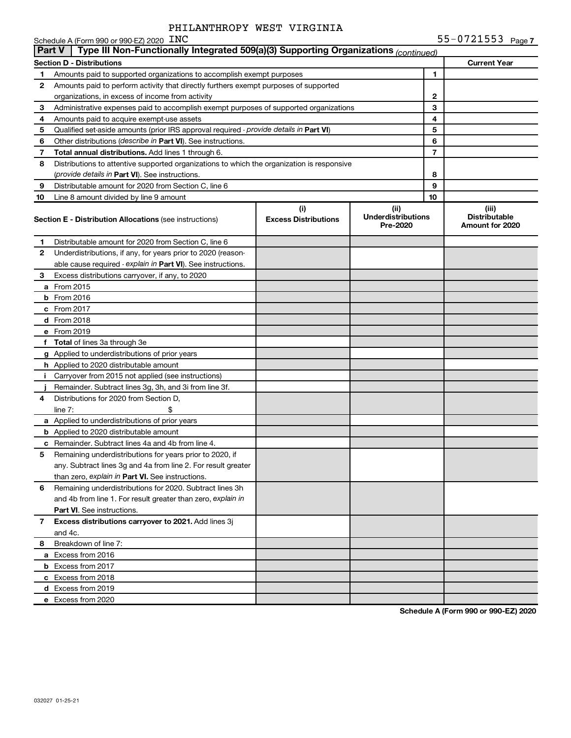|              | Schedule A (Form 990 or 990-EZ) 2020 $\rm\_INC$                                            |                                    |                                               |                | 55-0721553 Page 7                                |
|--------------|--------------------------------------------------------------------------------------------|------------------------------------|-----------------------------------------------|----------------|--------------------------------------------------|
| Part V       | Type III Non-Functionally Integrated 509(a)(3) Supporting Organizations (continued)        |                                    |                                               |                |                                                  |
|              | <b>Section D - Distributions</b>                                                           |                                    |                                               |                | <b>Current Year</b>                              |
| 1            | Amounts paid to supported organizations to accomplish exempt purposes                      |                                    |                                               | 1              |                                                  |
| $\mathbf{2}$ | Amounts paid to perform activity that directly furthers exempt purposes of supported       |                                    |                                               |                |                                                  |
|              | organizations, in excess of income from activity                                           |                                    |                                               | 2              |                                                  |
| 3            | Administrative expenses paid to accomplish exempt purposes of supported organizations      |                                    |                                               | 3              |                                                  |
| 4            | Amounts paid to acquire exempt-use assets                                                  |                                    |                                               | 4              |                                                  |
| 5            | Qualified set-aside amounts (prior IRS approval required - provide details in Part VI)     |                                    |                                               | 5              |                                                  |
| 6            | Other distributions ( <i>describe in Part VI</i> ). See instructions.                      |                                    |                                               | 6              |                                                  |
| 7            | Total annual distributions. Add lines 1 through 6.                                         |                                    |                                               | $\overline{7}$ |                                                  |
| 8            | Distributions to attentive supported organizations to which the organization is responsive |                                    |                                               |                |                                                  |
|              | (provide details in Part VI). See instructions.                                            |                                    |                                               | 8              |                                                  |
| 9            | Distributable amount for 2020 from Section C, line 6                                       |                                    |                                               | 9              |                                                  |
| 10           | Line 8 amount divided by line 9 amount                                                     |                                    |                                               | 10             |                                                  |
|              | <b>Section E - Distribution Allocations (see instructions)</b>                             | (i)<br><b>Excess Distributions</b> | (ii)<br><b>Underdistributions</b><br>Pre-2020 |                | (iii)<br><b>Distributable</b><br>Amount for 2020 |
| 1.           | Distributable amount for 2020 from Section C, line 6                                       |                                    |                                               |                |                                                  |
| $\mathbf{2}$ | Underdistributions, if any, for years prior to 2020 (reason-                               |                                    |                                               |                |                                                  |
|              | able cause required - explain in Part VI). See instructions.                               |                                    |                                               |                |                                                  |
| 3            | Excess distributions carryover, if any, to 2020                                            |                                    |                                               |                |                                                  |
|              | a From 2015                                                                                |                                    |                                               |                |                                                  |
|              | $b$ From 2016                                                                              |                                    |                                               |                |                                                  |
|              | c From 2017                                                                                |                                    |                                               |                |                                                  |
|              | d From 2018                                                                                |                                    |                                               |                |                                                  |
|              | e From 2019                                                                                |                                    |                                               |                |                                                  |
|              | f Total of lines 3a through 3e                                                             |                                    |                                               |                |                                                  |
|              | g Applied to underdistributions of prior years                                             |                                    |                                               |                |                                                  |
|              | <b>h</b> Applied to 2020 distributable amount                                              |                                    |                                               |                |                                                  |
| Ť.           | Carryover from 2015 not applied (see instructions)                                         |                                    |                                               |                |                                                  |
|              | Remainder. Subtract lines 3g, 3h, and 3i from line 3f.                                     |                                    |                                               |                |                                                  |
| 4            | Distributions for 2020 from Section D,                                                     |                                    |                                               |                |                                                  |
|              | line $7:$                                                                                  |                                    |                                               |                |                                                  |
|              | a Applied to underdistributions of prior years                                             |                                    |                                               |                |                                                  |
|              | <b>b</b> Applied to 2020 distributable amount                                              |                                    |                                               |                |                                                  |
|              | <b>c</b> Remainder. Subtract lines 4a and 4b from line 4.                                  |                                    |                                               |                |                                                  |
| 5            | Remaining underdistributions for years prior to 2020, if                                   |                                    |                                               |                |                                                  |
|              | any. Subtract lines 3g and 4a from line 2. For result greater                              |                                    |                                               |                |                                                  |
|              | than zero, explain in Part VI. See instructions.                                           |                                    |                                               |                |                                                  |
| 6            | Remaining underdistributions for 2020. Subtract lines 3h                                   |                                    |                                               |                |                                                  |
|              | and 4b from line 1. For result greater than zero, explain in                               |                                    |                                               |                |                                                  |
|              | <b>Part VI.</b> See instructions.                                                          |                                    |                                               |                |                                                  |
| $\mathbf{7}$ | Excess distributions carryover to 2021. Add lines 3j                                       |                                    |                                               |                |                                                  |
|              | and 4c.                                                                                    |                                    |                                               |                |                                                  |
| 8            | Breakdown of line 7:                                                                       |                                    |                                               |                |                                                  |
|              | a Excess from 2016                                                                         |                                    |                                               |                |                                                  |
|              | <b>b</b> Excess from 2017                                                                  |                                    |                                               |                |                                                  |
|              | c Excess from 2018                                                                         |                                    |                                               |                |                                                  |
|              | d Excess from 2019                                                                         |                                    |                                               |                |                                                  |
|              | e Excess from 2020                                                                         |                                    |                                               |                |                                                  |

**Schedule A (Form 990 or 990-EZ) 2020**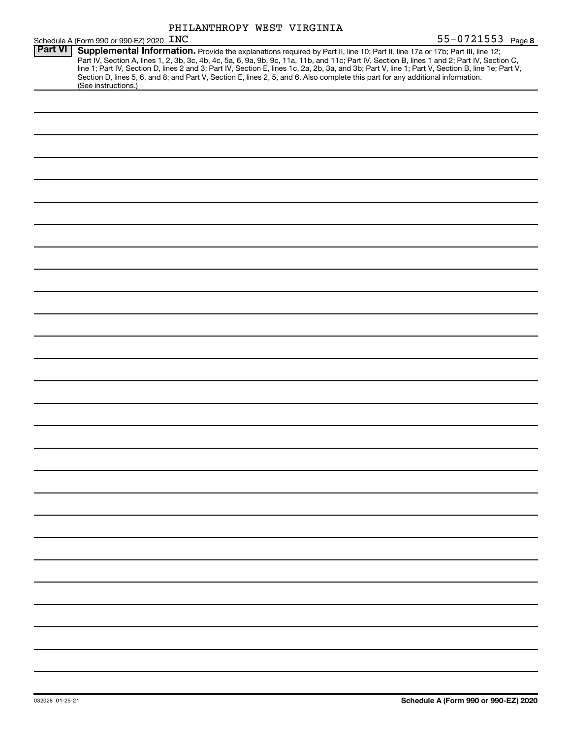| PHILANTHROPY WEST VIRGINIA |  |  |
|----------------------------|--|--|
|----------------------------|--|--|

|                | 55-0721553 Page 8<br>Schedule A (Form 990 or 990-EZ) 2020 INC                                                                                                                                                                                                                                                                                                                                                                                                                                                                                                                               |  |  |  |
|----------------|---------------------------------------------------------------------------------------------------------------------------------------------------------------------------------------------------------------------------------------------------------------------------------------------------------------------------------------------------------------------------------------------------------------------------------------------------------------------------------------------------------------------------------------------------------------------------------------------|--|--|--|
| <b>Part VI</b> | Supplemental Information. Provide the explanations required by Part II, line 10; Part II, line 17a or 17b; Part III, line 12;<br>Part IV, Section A, lines 1, 2, 3b, 3c, 4b, 4c, 5a, 6, 9a, 9b, 9c, 11a, 11b, and 11c; Part IV, Section B, lines 1 and 2; Part IV, Section C,<br>line 1; Part IV, Section D, lines 2 and 3; Part IV, Section E, lines 1c, 2a, 2b, 3a, and 3b; Part V, line 1; Part V, Section B, line 1e; Part V,<br>Section D, lines 5, 6, and 8; and Part V, Section E, lines 2, 5, and 6. Also complete this part for any additional information.<br>(See instructions.) |  |  |  |
|                |                                                                                                                                                                                                                                                                                                                                                                                                                                                                                                                                                                                             |  |  |  |
|                |                                                                                                                                                                                                                                                                                                                                                                                                                                                                                                                                                                                             |  |  |  |
|                |                                                                                                                                                                                                                                                                                                                                                                                                                                                                                                                                                                                             |  |  |  |
|                |                                                                                                                                                                                                                                                                                                                                                                                                                                                                                                                                                                                             |  |  |  |
|                |                                                                                                                                                                                                                                                                                                                                                                                                                                                                                                                                                                                             |  |  |  |
|                |                                                                                                                                                                                                                                                                                                                                                                                                                                                                                                                                                                                             |  |  |  |
|                |                                                                                                                                                                                                                                                                                                                                                                                                                                                                                                                                                                                             |  |  |  |
|                |                                                                                                                                                                                                                                                                                                                                                                                                                                                                                                                                                                                             |  |  |  |
|                |                                                                                                                                                                                                                                                                                                                                                                                                                                                                                                                                                                                             |  |  |  |
|                |                                                                                                                                                                                                                                                                                                                                                                                                                                                                                                                                                                                             |  |  |  |
|                |                                                                                                                                                                                                                                                                                                                                                                                                                                                                                                                                                                                             |  |  |  |
|                |                                                                                                                                                                                                                                                                                                                                                                                                                                                                                                                                                                                             |  |  |  |
|                |                                                                                                                                                                                                                                                                                                                                                                                                                                                                                                                                                                                             |  |  |  |
|                |                                                                                                                                                                                                                                                                                                                                                                                                                                                                                                                                                                                             |  |  |  |
|                |                                                                                                                                                                                                                                                                                                                                                                                                                                                                                                                                                                                             |  |  |  |
|                |                                                                                                                                                                                                                                                                                                                                                                                                                                                                                                                                                                                             |  |  |  |
|                |                                                                                                                                                                                                                                                                                                                                                                                                                                                                                                                                                                                             |  |  |  |
|                |                                                                                                                                                                                                                                                                                                                                                                                                                                                                                                                                                                                             |  |  |  |
|                |                                                                                                                                                                                                                                                                                                                                                                                                                                                                                                                                                                                             |  |  |  |
|                |                                                                                                                                                                                                                                                                                                                                                                                                                                                                                                                                                                                             |  |  |  |
|                |                                                                                                                                                                                                                                                                                                                                                                                                                                                                                                                                                                                             |  |  |  |
|                |                                                                                                                                                                                                                                                                                                                                                                                                                                                                                                                                                                                             |  |  |  |
|                |                                                                                                                                                                                                                                                                                                                                                                                                                                                                                                                                                                                             |  |  |  |
|                |                                                                                                                                                                                                                                                                                                                                                                                                                                                                                                                                                                                             |  |  |  |
|                |                                                                                                                                                                                                                                                                                                                                                                                                                                                                                                                                                                                             |  |  |  |
|                |                                                                                                                                                                                                                                                                                                                                                                                                                                                                                                                                                                                             |  |  |  |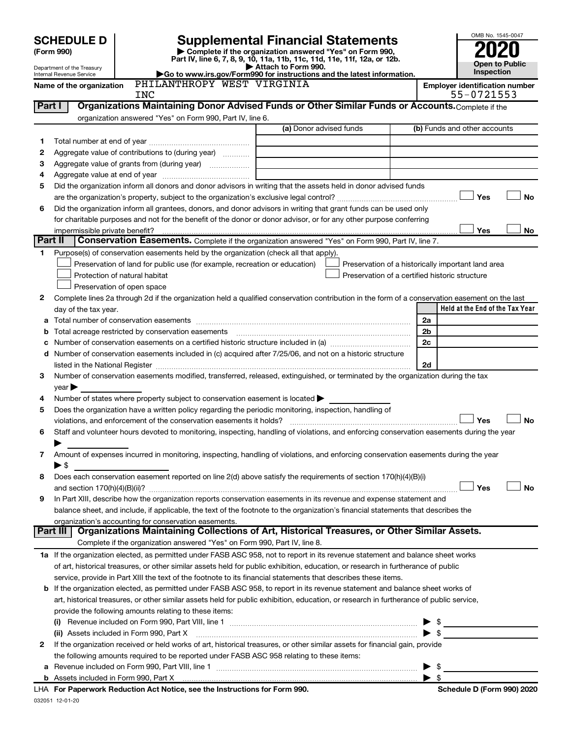|  | <b>SCHEDULE D</b> |  |
|--|-------------------|--|
|  |                   |  |

# **SCHEDULE D Supplemental Financial Statements**<br>(Form 990) **2020**

**(Form 990) | Complete if the organization answered "Yes" on Form 990, Part IV, line 6, 7, 8, 9, 10, 11a, 11b, 11c, 11d, 11e, 11f, 12a, or 12b.**

OMB No. 1545-0047 **Open to Public Inspection**

| Department of the Treasury |
|----------------------------|
| Internal Revenue Service   |

| Department of the Treasury | $\blacktriangleright$ Attach to Form 990.                              | <b>Open to Public</b>                 |
|----------------------------|------------------------------------------------------------------------|---------------------------------------|
| Internal Revenue Service   | Go to www.irs.gov/Form990 for instructions and the latest information. | <b>Inspection</b>                     |
| Name of the organization   | PHILANTHROPY WEST VIRGINIA                                             | <b>Emplover identification number</b> |

|         | <b>INC</b>                                                                                                                                                                                                                     |                         | 55-0721553                                         |  |  |  |
|---------|--------------------------------------------------------------------------------------------------------------------------------------------------------------------------------------------------------------------------------|-------------------------|----------------------------------------------------|--|--|--|
| Part I  | Organizations Maintaining Donor Advised Funds or Other Similar Funds or Accounts. Complete if the                                                                                                                              |                         |                                                    |  |  |  |
|         | organization answered "Yes" on Form 990, Part IV, line 6.                                                                                                                                                                      |                         |                                                    |  |  |  |
|         |                                                                                                                                                                                                                                | (a) Donor advised funds | (b) Funds and other accounts                       |  |  |  |
| 1       |                                                                                                                                                                                                                                |                         |                                                    |  |  |  |
| 2       | Aggregate value of contributions to (during year)                                                                                                                                                                              |                         |                                                    |  |  |  |
| з       | Aggregate value of grants from (during year)                                                                                                                                                                                   |                         |                                                    |  |  |  |
| 4       |                                                                                                                                                                                                                                |                         |                                                    |  |  |  |
| 5       | Did the organization inform all donors and donor advisors in writing that the assets held in donor advised funds                                                                                                               |                         |                                                    |  |  |  |
|         |                                                                                                                                                                                                                                |                         | Yes<br>No                                          |  |  |  |
| 6       | Did the organization inform all grantees, donors, and donor advisors in writing that grant funds can be used only                                                                                                              |                         |                                                    |  |  |  |
|         | for charitable purposes and not for the benefit of the donor or donor advisor, or for any other purpose conferring                                                                                                             |                         |                                                    |  |  |  |
|         | impermissible private benefit?                                                                                                                                                                                                 |                         | Yes<br>No                                          |  |  |  |
| Part II | Conservation Easements. Complete if the organization answered "Yes" on Form 990, Part IV, line 7.                                                                                                                              |                         |                                                    |  |  |  |
| 1       | Purpose(s) of conservation easements held by the organization (check all that apply).                                                                                                                                          |                         |                                                    |  |  |  |
|         | Preservation of land for public use (for example, recreation or education)                                                                                                                                                     |                         | Preservation of a historically important land area |  |  |  |
|         | Protection of natural habitat                                                                                                                                                                                                  |                         | Preservation of a certified historic structure     |  |  |  |
|         | Preservation of open space                                                                                                                                                                                                     |                         |                                                    |  |  |  |
| 2       | Complete lines 2a through 2d if the organization held a qualified conservation contribution in the form of a conservation easement on the last                                                                                 |                         |                                                    |  |  |  |
|         | day of the tax year.                                                                                                                                                                                                           |                         | Held at the End of the Tax Year                    |  |  |  |
| а       |                                                                                                                                                                                                                                |                         | 2a                                                 |  |  |  |
|         | Total acreage restricted by conservation easements                                                                                                                                                                             |                         | 2 <sub>b</sub>                                     |  |  |  |
|         |                                                                                                                                                                                                                                |                         | 2c                                                 |  |  |  |
| d       | Number of conservation easements included in (c) acquired after 7/25/06, and not on a historic structure                                                                                                                       |                         |                                                    |  |  |  |
|         | listed in the National Register [111] in the National Register [11] in the National Register [11] in the National Register [11] in the National Register [11] in the National Register [11] in the National Register [11] in t |                         | 2d                                                 |  |  |  |
| 3       | Number of conservation easements modified, transferred, released, extinguished, or terminated by the organization during the tax                                                                                               |                         |                                                    |  |  |  |
|         | year                                                                                                                                                                                                                           |                         |                                                    |  |  |  |
| 4       | Number of states where property subject to conservation easement is located >                                                                                                                                                  |                         |                                                    |  |  |  |
| 5       | Does the organization have a written policy regarding the periodic monitoring, inspection, handling of                                                                                                                         |                         |                                                    |  |  |  |
|         | violations, and enforcement of the conservation easements it holds?                                                                                                                                                            |                         | Yes<br>No                                          |  |  |  |
| 6       | Staff and volunteer hours devoted to monitoring, inspecting, handling of violations, and enforcing conservation easements during the year                                                                                      |                         |                                                    |  |  |  |
|         |                                                                                                                                                                                                                                |                         |                                                    |  |  |  |
| 7       | Amount of expenses incurred in monitoring, inspecting, handling of violations, and enforcing conservation easements during the year                                                                                            |                         |                                                    |  |  |  |
|         | ► \$                                                                                                                                                                                                                           |                         |                                                    |  |  |  |
| 8       | Does each conservation easement reported on line 2(d) above satisfy the requirements of section 170(h)(4)(B)(i)                                                                                                                |                         |                                                    |  |  |  |
|         |                                                                                                                                                                                                                                |                         | Yes<br>No                                          |  |  |  |
| 9       | In Part XIII, describe how the organization reports conservation easements in its revenue and expense statement and                                                                                                            |                         |                                                    |  |  |  |
|         | balance sheet, and include, if applicable, the text of the footnote to the organization's financial statements that describes the                                                                                              |                         |                                                    |  |  |  |
|         | organization's accounting for conservation easements.                                                                                                                                                                          |                         |                                                    |  |  |  |
|         | Organizations Maintaining Collections of Art, Historical Treasures, or Other Similar Assets.<br>Part III                                                                                                                       |                         |                                                    |  |  |  |
|         | Complete if the organization answered "Yes" on Form 990, Part IV, line 8.                                                                                                                                                      |                         |                                                    |  |  |  |
|         | 1a If the organization elected, as permitted under FASB ASC 958, not to report in its revenue statement and balance sheet works                                                                                                |                         |                                                    |  |  |  |
|         | of art, historical treasures, or other similar assets held for public exhibition, education, or research in furtherance of public                                                                                              |                         |                                                    |  |  |  |
|         | service, provide in Part XIII the text of the footnote to its financial statements that describes these items.                                                                                                                 |                         |                                                    |  |  |  |
|         | b If the organization elected, as permitted under FASB ASC 958, to report in its revenue statement and balance sheet works of                                                                                                  |                         |                                                    |  |  |  |
|         | art, historical treasures, or other similar assets held for public exhibition, education, or research in furtherance of public service,                                                                                        |                         |                                                    |  |  |  |
|         | provide the following amounts relating to these items:                                                                                                                                                                         |                         |                                                    |  |  |  |
|         |                                                                                                                                                                                                                                |                         | $\frac{1}{2}$                                      |  |  |  |
|         | (ii) Assets included in Form 990, Part X                                                                                                                                                                                       |                         | $\bullet$ \$                                       |  |  |  |
| 2       | If the organization received or held works of art, historical treasures, or other similar assets for financial gain, provide                                                                                                   |                         |                                                    |  |  |  |
|         | the following amounts required to be reported under FASB ASC 958 relating to these items:                                                                                                                                      |                         |                                                    |  |  |  |
| а       |                                                                                                                                                                                                                                |                         | -\$                                                |  |  |  |
|         |                                                                                                                                                                                                                                |                         | $\blacktriangleright$ \$                           |  |  |  |

032051 12-01-20 **For Paperwork Reduction Act Notice, see the Instructions for Form 990. Schedule D (Form 990) 2020** LHA

| Schedule D (Form 990) 2020 |  |  |
|----------------------------|--|--|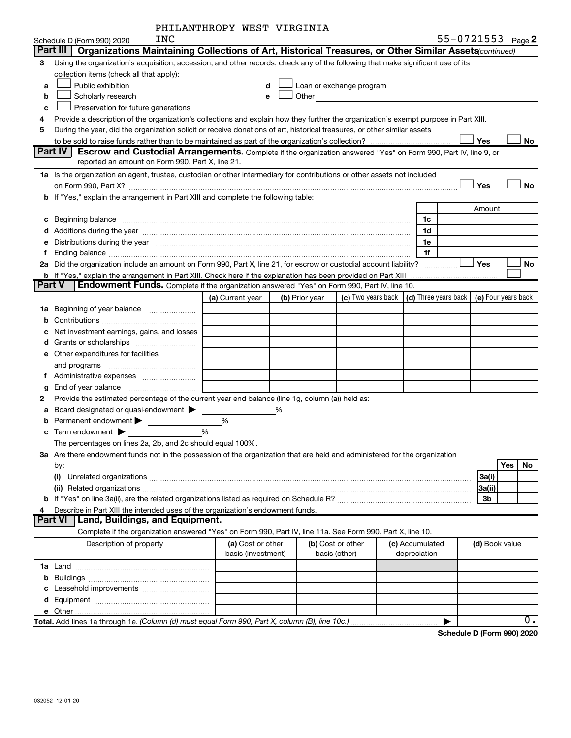| PHILANTHROPY WEST VIRGINIA |  |  |
|----------------------------|--|--|
|----------------------------|--|--|

|   | INC<br>Schedule D (Form 990) 2020                                                                                                                                                                                              |                    |   |                |                                    |  |                                                          |  | 55-0721553 Page 2 |            |    |
|---|--------------------------------------------------------------------------------------------------------------------------------------------------------------------------------------------------------------------------------|--------------------|---|----------------|------------------------------------|--|----------------------------------------------------------|--|-------------------|------------|----|
|   | Part III<br>Organizations Maintaining Collections of Art, Historical Treasures, or Other Similar Assets (continued)                                                                                                            |                    |   |                |                                    |  |                                                          |  |                   |            |    |
| 3 | Using the organization's acquisition, accession, and other records, check any of the following that make significant use of its                                                                                                |                    |   |                |                                    |  |                                                          |  |                   |            |    |
|   | collection items (check all that apply):                                                                                                                                                                                       |                    |   |                |                                    |  |                                                          |  |                   |            |    |
| a | Public exhibition                                                                                                                                                                                                              | d                  |   |                | Loan or exchange program           |  |                                                          |  |                   |            |    |
| b | Scholarly research                                                                                                                                                                                                             | $\mathbf e$        |   | Other          |                                    |  |                                                          |  |                   |            |    |
| с | Preservation for future generations                                                                                                                                                                                            |                    |   |                |                                    |  |                                                          |  |                   |            |    |
| 4 | Provide a description of the organization's collections and explain how they further the organization's exempt purpose in Part XIII.                                                                                           |                    |   |                |                                    |  |                                                          |  |                   |            |    |
| 5 | During the year, did the organization solicit or receive donations of art, historical treasures, or other similar assets                                                                                                       |                    |   |                |                                    |  |                                                          |  |                   |            |    |
|   | Yes<br>No                                                                                                                                                                                                                      |                    |   |                |                                    |  |                                                          |  |                   |            |    |
|   | Part IV<br><b>Escrow and Custodial Arrangements.</b> Complete if the organization answered "Yes" on Form 990, Part IV, line 9, or                                                                                              |                    |   |                |                                    |  |                                                          |  |                   |            |    |
|   | reported an amount on Form 990, Part X, line 21.                                                                                                                                                                               |                    |   |                |                                    |  |                                                          |  |                   |            |    |
|   | 1a Is the organization an agent, trustee, custodian or other intermediary for contributions or other assets not included                                                                                                       |                    |   |                |                                    |  |                                                          |  |                   |            |    |
|   |                                                                                                                                                                                                                                |                    |   |                |                                    |  |                                                          |  | Yes               |            | No |
|   | b If "Yes," explain the arrangement in Part XIII and complete the following table:                                                                                                                                             |                    |   |                |                                    |  |                                                          |  |                   |            |    |
|   |                                                                                                                                                                                                                                |                    |   |                |                                    |  |                                                          |  | Amount            |            |    |
|   |                                                                                                                                                                                                                                |                    |   |                |                                    |  | 1c                                                       |  |                   |            |    |
|   |                                                                                                                                                                                                                                |                    |   |                |                                    |  | 1d                                                       |  |                   |            |    |
|   | e Distributions during the year manufactured and continuum and contained and the year manufactured and contained and the year manufactured and contained and contained and contained and contained and contained and contained |                    |   |                |                                    |  | 1е                                                       |  |                   |            |    |
|   |                                                                                                                                                                                                                                |                    |   |                |                                    |  | 1f                                                       |  |                   |            |    |
|   | 2a Did the organization include an amount on Form 990, Part X, line 21, for escrow or custodial account liability?                                                                                                             |                    |   |                |                                    |  |                                                          |  | Yes               |            | No |
|   | b If "Yes," explain the arrangement in Part XIII. Check here if the explanation has been provided on Part XIII                                                                                                                 |                    |   |                |                                    |  |                                                          |  |                   |            |    |
|   | Part V<br>Endowment Funds. Complete if the organization answered "Yes" on Form 990, Part IV, line 10.                                                                                                                          |                    |   |                |                                    |  |                                                          |  |                   |            |    |
|   |                                                                                                                                                                                                                                | (a) Current year   |   | (b) Prior year | (c) Two years back                 |  | $\vert$ (d) Three years back $\vert$ (e) Four years back |  |                   |            |    |
|   | 1a Beginning of year balance                                                                                                                                                                                                   |                    |   |                |                                    |  |                                                          |  |                   |            |    |
| b |                                                                                                                                                                                                                                |                    |   |                |                                    |  |                                                          |  |                   |            |    |
|   | Net investment earnings, gains, and losses                                                                                                                                                                                     |                    |   |                |                                    |  |                                                          |  |                   |            |    |
|   |                                                                                                                                                                                                                                |                    |   |                |                                    |  |                                                          |  |                   |            |    |
|   | <b>e</b> Other expenditures for facilities                                                                                                                                                                                     |                    |   |                |                                    |  |                                                          |  |                   |            |    |
|   | and programs                                                                                                                                                                                                                   |                    |   |                |                                    |  |                                                          |  |                   |            |    |
|   |                                                                                                                                                                                                                                |                    |   |                |                                    |  |                                                          |  |                   |            |    |
| g |                                                                                                                                                                                                                                |                    |   |                |                                    |  |                                                          |  |                   |            |    |
| 2 | Provide the estimated percentage of the current year end balance (line 1g, column (a)) held as:                                                                                                                                |                    |   |                |                                    |  |                                                          |  |                   |            |    |
| а | Board designated or quasi-endowment                                                                                                                                                                                            |                    | % |                |                                    |  |                                                          |  |                   |            |    |
| b | Permanent endowment                                                                                                                                                                                                            | %                  |   |                |                                    |  |                                                          |  |                   |            |    |
| c | Term endowment $\blacktriangleright$                                                                                                                                                                                           | $\frac{0}{0}$      |   |                |                                    |  |                                                          |  |                   |            |    |
|   | The percentages on lines 2a, 2b, and 2c should equal 100%.                                                                                                                                                                     |                    |   |                |                                    |  |                                                          |  |                   |            |    |
|   | 3a Are there endowment funds not in the possession of the organization that are held and administered for the organization                                                                                                     |                    |   |                |                                    |  |                                                          |  |                   |            |    |
|   | by:                                                                                                                                                                                                                            |                    |   |                |                                    |  |                                                          |  |                   | <b>Yes</b> | No |
|   |                                                                                                                                                                                                                                |                    |   |                |                                    |  |                                                          |  | 3a(i)             |            |    |
|   |                                                                                                                                                                                                                                |                    |   |                |                                    |  |                                                          |  | 3a(ii)            |            |    |
|   |                                                                                                                                                                                                                                |                    |   |                |                                    |  |                                                          |  | 3b                |            |    |
| 4 | Describe in Part XIII the intended uses of the organization's endowment funds.<br>Part VI   Land, Buildings, and Equipment.                                                                                                    |                    |   |                |                                    |  |                                                          |  |                   |            |    |
|   | Complete if the organization answered "Yes" on Form 990, Part IV, line 11a. See Form 990, Part X, line 10.                                                                                                                     |                    |   |                |                                    |  |                                                          |  |                   |            |    |
|   |                                                                                                                                                                                                                                | (a) Cost or other  |   |                |                                    |  |                                                          |  |                   |            |    |
|   | Description of property                                                                                                                                                                                                        | basis (investment) |   |                | (b) Cost or other<br>basis (other) |  | (c) Accumulated<br>depreciation                          |  | (d) Book value    |            |    |
|   |                                                                                                                                                                                                                                |                    |   |                |                                    |  |                                                          |  |                   |            |    |
|   |                                                                                                                                                                                                                                |                    |   |                |                                    |  |                                                          |  |                   |            |    |
|   |                                                                                                                                                                                                                                |                    |   |                |                                    |  |                                                          |  |                   |            |    |
|   |                                                                                                                                                                                                                                |                    |   |                |                                    |  |                                                          |  |                   |            |    |
|   |                                                                                                                                                                                                                                |                    |   |                |                                    |  |                                                          |  |                   |            |    |
|   |                                                                                                                                                                                                                                |                    |   |                |                                    |  |                                                          |  |                   |            | 0. |

**Schedule D (Form 990) 2020**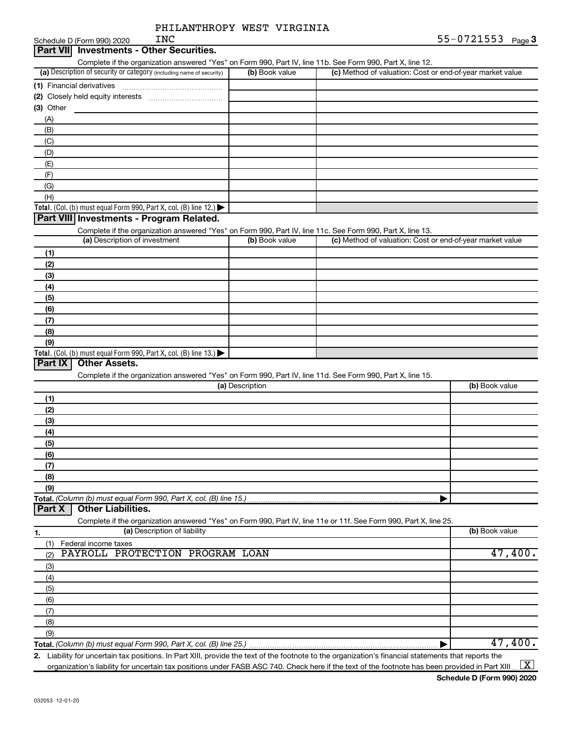|                                                                                                                                                   | PHILANTHROPY WEST VIRGINIA |                                                           |                   |
|---------------------------------------------------------------------------------------------------------------------------------------------------|----------------------------|-----------------------------------------------------------|-------------------|
| <b>INC</b><br>Schedule D (Form 990) 2020                                                                                                          |                            |                                                           | 55-0721553 Page 3 |
| Part VII Investments - Other Securities.                                                                                                          |                            |                                                           |                   |
| Complete if the organization answered "Yes" on Form 990, Part IV, line 11b. See Form 990, Part X, line 12.                                        |                            |                                                           |                   |
| (a) Description of security or category (including name of security)                                                                              | (b) Book value             | (c) Method of valuation: Cost or end-of-year market value |                   |
|                                                                                                                                                   |                            |                                                           |                   |
|                                                                                                                                                   |                            |                                                           |                   |
| (3) Other                                                                                                                                         |                            |                                                           |                   |
| (A)                                                                                                                                               |                            |                                                           |                   |
| (B)                                                                                                                                               |                            |                                                           |                   |
| (C)                                                                                                                                               |                            |                                                           |                   |
| (D)                                                                                                                                               |                            |                                                           |                   |
| (E)                                                                                                                                               |                            |                                                           |                   |
| (F)                                                                                                                                               |                            |                                                           |                   |
| (G)                                                                                                                                               |                            |                                                           |                   |
| (H)                                                                                                                                               |                            |                                                           |                   |
| Total. (Col. (b) must equal Form 990, Part X, col. (B) line 12.) $\blacktriangleright$                                                            |                            |                                                           |                   |
| Part VIII Investments - Program Related.                                                                                                          |                            |                                                           |                   |
| Complete if the organization answered "Yes" on Form 990, Part IV, line 11c. See Form 990, Part X, line 13.                                        |                            |                                                           |                   |
| (a) Description of investment                                                                                                                     | (b) Book value             | (c) Method of valuation: Cost or end-of-year market value |                   |
| (1)                                                                                                                                               |                            |                                                           |                   |
| (2)                                                                                                                                               |                            |                                                           |                   |
| (3)                                                                                                                                               |                            |                                                           |                   |
| (4)                                                                                                                                               |                            |                                                           |                   |
| (5)                                                                                                                                               |                            |                                                           |                   |
| (6)                                                                                                                                               |                            |                                                           |                   |
| (7)                                                                                                                                               |                            |                                                           |                   |
| (8)                                                                                                                                               |                            |                                                           |                   |
| (9)                                                                                                                                               |                            |                                                           |                   |
| Total. (Col. (b) must equal Form 990, Part X, col. (B) line 13.) $\blacktriangleright$                                                            |                            |                                                           |                   |
| Part IX<br><b>Other Assets.</b>                                                                                                                   |                            |                                                           |                   |
| Complete if the organization answered "Yes" on Form 990, Part IV, line 11d. See Form 990, Part X, line 15.                                        |                            |                                                           |                   |
|                                                                                                                                                   | (a) Description            |                                                           | (b) Book value    |
| (1)                                                                                                                                               |                            |                                                           |                   |
| (2)                                                                                                                                               |                            |                                                           |                   |
| (3)                                                                                                                                               |                            |                                                           |                   |
| (4)                                                                                                                                               |                            |                                                           |                   |
| (5)                                                                                                                                               |                            |                                                           |                   |
| (6)                                                                                                                                               |                            |                                                           |                   |
| (7)                                                                                                                                               |                            |                                                           |                   |
| (8)                                                                                                                                               |                            |                                                           |                   |
| (9)                                                                                                                                               |                            |                                                           |                   |
| Total. (Column (b) must equal Form 990, Part X, col. (B) line 15.)                                                                                |                            |                                                           |                   |
| <b>Other Liabilities.</b><br>Part X                                                                                                               |                            |                                                           |                   |
| Complete if the organization answered "Yes" on Form 990, Part IV, line 11e or 11f. See Form 990, Part X, line 25.<br>(a) Description of liability |                            |                                                           | (b) Book value    |
| 1.                                                                                                                                                |                            |                                                           |                   |
| Federal income taxes<br>(1)<br>PAYROLL PROTECTION PROGRAM LOAN                                                                                    |                            |                                                           | 47,400.           |
| (2)                                                                                                                                               |                            |                                                           |                   |
| (3)                                                                                                                                               |                            |                                                           |                   |

**Total.**  *(Column (b) must equal Form 990, Part X, col. (B) line 25.)* (3) (4) (5) (6) (7) (8) (9) | 47,400.

**2.** Liability for uncertain tax positions. In Part XIII, provide the text of the footnote to the organization's financial statements that reports the organization's liability for uncertain tax positions under FASB ASC 740. Check here if the text of the footnote has been provided in Part XIII…  $\boxed{\mathrm{X}}$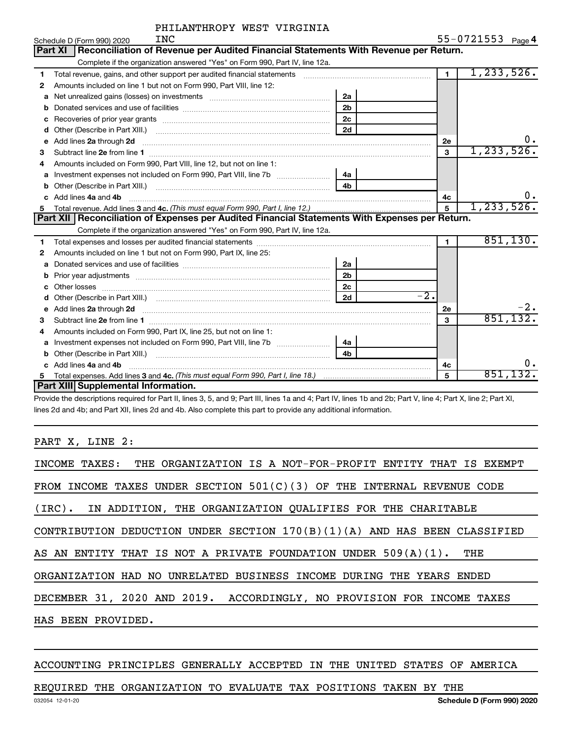| PHILANTHROPY WEST VIRGINIA |  |  |
|----------------------------|--|--|
|----------------------------|--|--|

| 55-0721553 $_{Page}$ 4 |  |  |  |  |  |
|------------------------|--|--|--|--|--|
|------------------------|--|--|--|--|--|

|    | INC<br>Schedule D (Form 990) 2020                                                                                                                                    |                |                | $55 - 0721553$ Page 4 |
|----|----------------------------------------------------------------------------------------------------------------------------------------------------------------------|----------------|----------------|-----------------------|
|    | Part XI   Reconciliation of Revenue per Audited Financial Statements With Revenue per Return.                                                                        |                |                |                       |
|    | Complete if the organization answered "Yes" on Form 990, Part IV, line 12a.                                                                                          |                |                |                       |
| 1. | Total revenue, gains, and other support per audited financial statements [11] [11] Total revenue, [21] Total revenue of the support per audited financial statements |                | $\overline{1}$ | 1, 233, 526.          |
| 2  | Amounts included on line 1 but not on Form 990, Part VIII, line 12:                                                                                                  |                |                |                       |
| a  |                                                                                                                                                                      | 2a             |                |                       |
|    |                                                                                                                                                                      | 2 <sub>b</sub> |                |                       |
| c  |                                                                                                                                                                      |                |                |                       |
| d  |                                                                                                                                                                      |                |                |                       |
| e  |                                                                                                                                                                      | 2е             | Ο.             |                       |
| 3  |                                                                                                                                                                      |                | $\mathbf{3}$   | 1, 233, 526.          |
|    | Amounts included on Form 990, Part VIII, line 12, but not on line 1:                                                                                                 |                |                |                       |
| a  | Investment expenses not included on Form 990, Part VIII, line 7b [11, 111, 120]                                                                                      | - 4a           |                |                       |
|    |                                                                                                                                                                      |                |                |                       |
|    | Add lines 4a and 4b                                                                                                                                                  |                | 4c             | 0.                    |
| 5  |                                                                                                                                                                      |                | $\overline{5}$ | 1, 233, 526.          |
|    | Part XII   Reconciliation of Expenses per Audited Financial Statements With Expenses per Return.                                                                     |                |                |                       |
|    | Complete if the organization answered "Yes" on Form 990, Part IV, line 12a.                                                                                          |                |                |                       |
| 1  | Total expenses and losses per audited financial statements                                                                                                           |                | $\blacksquare$ | 851,130.              |
| 2  | Amounts included on line 1 but not on Form 990, Part IX, line 25:                                                                                                    |                |                |                       |
| a  |                                                                                                                                                                      | 2a             |                |                       |
| b  |                                                                                                                                                                      | 2b             |                |                       |
| c  |                                                                                                                                                                      | 2c             |                |                       |
|    |                                                                                                                                                                      | 2d             | $-2.$          |                       |
|    |                                                                                                                                                                      |                | 2е             |                       |
| 3  |                                                                                                                                                                      |                | 3              | 851, 132.             |
| 4  | Amounts included on Form 990, Part IX, line 25, but not on line 1:                                                                                                   |                |                |                       |
|    | a Investment expenses not included on Form 990, Part VIII, line 7b [11, 11, 11, 11, 11]                                                                              | 4а             |                |                       |
|    |                                                                                                                                                                      | 4 <sub>b</sub> |                |                       |
|    | c Add lines 4a and 4b                                                                                                                                                |                | 4c             | 0.                    |
| 5. |                                                                                                                                                                      |                | 5              | 851,132.              |
|    | Part XIII Supplemental Information.                                                                                                                                  |                |                |                       |

Provide the descriptions required for Part II, lines 3, 5, and 9; Part III, lines 1a and 4; Part IV, lines 1b and 2b; Part V, line 4; Part X, line 2; Part XI, lines 2d and 4b; and Part XII, lines 2d and 4b. Also complete this part to provide any additional information.

PART X, LINE 2:

| INCOME TAXES: THE ORGANIZATION IS A NOT-FOR-PROFIT ENTITY THAT IS EXEMPT    |
|-----------------------------------------------------------------------------|
| FROM INCOME TAXES UNDER SECTION $501(C)(3)$ OF THE INTERNAL REVENUE CODE    |
| (IRC). IN ADDITION, THE ORGANIZATION QUALIFIES FOR THE CHARITABLE           |
| CONTRIBUTION DEDUCTION UNDER SECTION $170(B)(1)(A)$ and has been classified |
| AS AN ENTITY THAT IS NOT A PRIVATE FOUNDATION UNDER $509(A)(1)$ .<br>THE    |
| ORGANIZATION HAD NO UNRELATED BUSINESS INCOME DURING THE YEARS ENDED        |
| DECEMBER 31, 2020 AND 2019. ACCORDINGLY, NO PROVISION FOR INCOME TAXES      |
| HAS BEEN PROVIDED.                                                          |

#### ACCOUNTING PRINCIPLES GENERALLY ACCEPTED IN THE UNITED STATES OF AMERICA

#### REQUIRED THE ORGANIZATION TO EVALUATE TAX POSITIONS TAKEN BY THE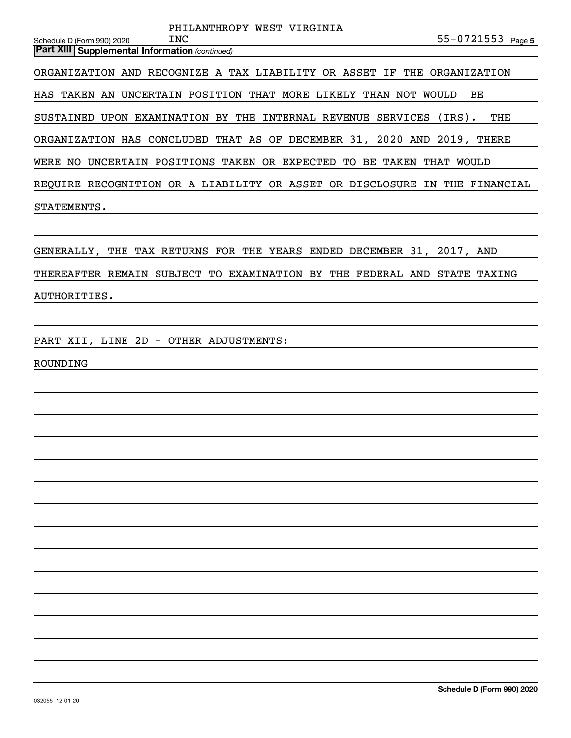|                                                       | PHILANTHROPY WEST VIRGINIA                                              |                      |
|-------------------------------------------------------|-------------------------------------------------------------------------|----------------------|
| Schedule D (Form 990) 2020                            | INC                                                                     | 55-0721553 Page 5    |
| <b>Part XIII Supplemental Information (continued)</b> |                                                                         |                      |
|                                                       | ORGANIZATION AND RECOGNIZE A TAX LIABILITY OR ASSET IF THE ORGANIZATION |                      |
|                                                       | HAS TAKEN AN UNCERTAIN POSITION THAT MORE LIKELY THAN NOT               | BE<br><b>WOULD</b>   |
|                                                       | SUSTAINED UPON EXAMINATION BY THE INTERNAL REVENUE SERVICES             | $(IRS)$ .<br>THE     |
|                                                       | ORGANIZATION HAS CONCLUDED THAT AS OF DECEMBER 31, 2020 AND 2019,       | THERE                |
| WERE NO                                               | UNCERTAIN POSITIONS TAKEN OR EXPECTED<br>TО<br>BE.<br>TAKEN             | <b>WOULD</b><br>THAT |
|                                                       | REQUIRE RECOGNITION OR A LIABILITY OR ASSET OR DISCLOSURE               | IN THE FINANCIAL     |
| STATEMENTS.                                           |                                                                         |                      |
|                                                       |                                                                         |                      |

GENERALLY, THE TAX RETURNS FOR THE YEARS ENDED DECEMBER 31, 2017, AND THEREAFTER REMAIN SUBJECT TO EXAMINATION BY THE FEDERAL AND STATE TAXING AUTHORITIES.

PART XII, LINE 2D - OTHER ADJUSTMENTS:

ROUNDING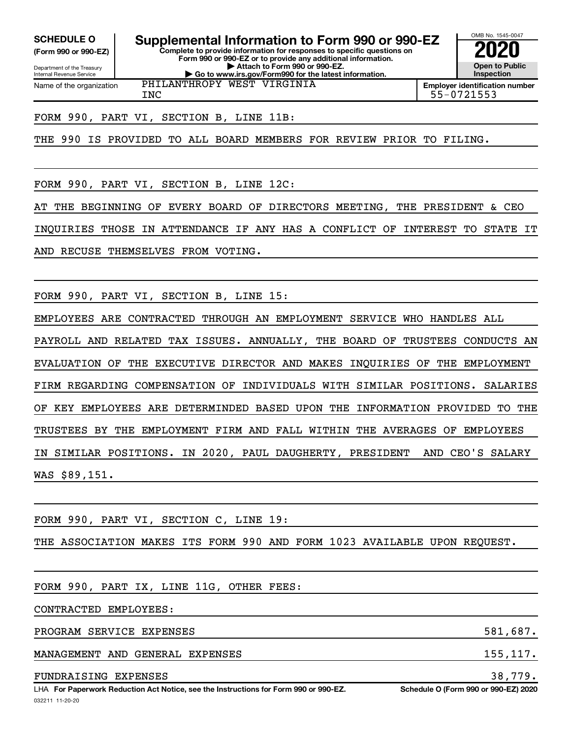**(Form 990 or 990-EZ)**

Department of the Treasury Internal Revenue Service Name of the organization

**Complete to provide information for responses to specific questions on Form 990 or 990-EZ or to provide any additional information. | Attach to Form 990 or 990-EZ. | Go to www.irs.gov/Form990 for the latest information. SCHEDULE O Supplemental Information to Form 990 or 990-EZ 2020**<br>(Form 990 or 990-EZ)

PHILANTHROPY WEST VIRGINIA

**Open to Public Inspection Employer identification number** INC 55-0721553

OMB No. 1545-0047

FORM 990, PART VI, SECTION B, LINE 11B:

THE 990 IS PROVIDED TO ALL BOARD MEMBERS FOR REVIEW PRIOR TO FILING.

FORM 990, PART VI, SECTION B, LINE 12C:

AT THE BEGINNING OF EVERY BOARD OF DIRECTORS MEETING, THE PRESIDENT & CEO

INQUIRIES THOSE IN ATTENDANCE IF ANY HAS A CONFLICT OF INTEREST TO STATE IT

AND RECUSE THEMSELVES FROM VOTING.

FORM 990, PART VI, SECTION B, LINE 15:

EMPLOYEES ARE CONTRACTED THROUGH AN EMPLOYMENT SERVICE WHO HANDLES ALL PAYROLL AND RELATED TAX ISSUES. ANNUALLY, THE BOARD OF TRUSTEES CONDUCTS AN EVALUATION OF THE EXECUTIVE DIRECTOR AND MAKES INQUIRIES OF THE EMPLOYMENT FIRM REGARDING COMPENSATION OF INDIVIDUALS WITH SIMILAR POSITIONS. SALARIES OF KEY EMPLOYEES ARE DETERMINDED BASED UPON THE INFORMATION PROVIDED TO THE TRUSTEES BY THE EMPLOYMENT FIRM AND FALL WITHIN THE AVERAGES OF EMPLOYEES IN SIMILAR POSITIONS. IN 2020, PAUL DAUGHERTY, PRESIDENT AND CEO'S SALARY

WAS \$89,151.

FORM 990, PART VI, SECTION C, LINE 19:

THE ASSOCIATION MAKES ITS FORM 990 AND FORM 1023 AVAILABLE UPON REQUEST.

FORM 990, PART IX, LINE 11G, OTHER FEES:

CONTRACTED EMPLOYEES:

PROGRAM SERVICE EXPENSES 581,687.

MANAGEMENT AND GENERAL EXPENSES 155,117.

FUNDRAISING EXPENSES 38,779.